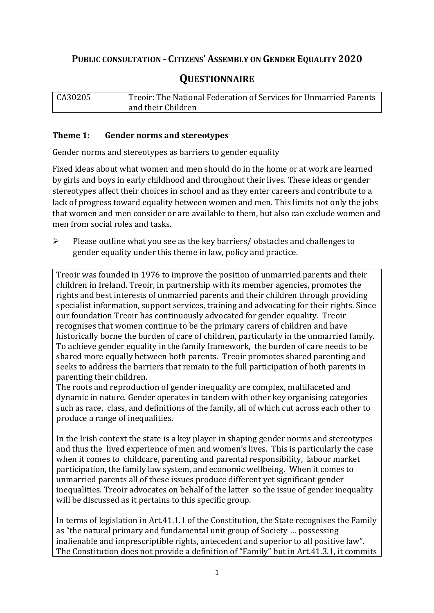# **PUBLIC CONSULTATION - CITIZENS' ASSEMBLY ON GENDER EQUALITY 2020**

# **QUESTIONNAIRE**

| CA30205 | Treoir: The National Federation of Services for Unmarried Parents |
|---------|-------------------------------------------------------------------|
|         | and their Children                                                |

## **Theme 1: Gender norms and stereotypes**

Gender norms and stereotypes as barriers to gender equality

Fixed ideas about what women and men should do in the home or at work are learned by girls and boys in early childhood and throughout their lives. These ideas or gender stereotypes affect their choices in school and as they enter careers and contribute to a lack of progress toward equality between women and men. This limits not only the jobs that women and men consider or are available to them, but also can exclude women and men from social roles and tasks.

➢ Please outline what you see as the key barriers/ obstacles and challenges to gender equality under this theme in law, policy and practice.

Treoir was founded in 1976 to improve the position of unmarried parents and their children in Ireland. Treoir, in partnership with its member agencies, promotes the rights and best interests of unmarried parents and their children through providing specialist information, support services, training and advocating for their rights. Since our foundation Treoir has continuously advocated for gender equality. Treoir recognises that women continue to be the primary carers of children and have historically borne the burden of care of children, particularly in the unmarried family. To achieve gender equality in the family framework, the burden of care needs to be shared more equally between both parents. Treoir promotes shared parenting and seeks to address the barriers that remain to the full participation of both parents in parenting their children.

The roots and reproduction of gender inequality are complex, multifaceted and dynamic in nature. Gender operates in tandem with other key organising categories such as race, class, and definitions of the family, all of which cut across each other to produce a range of inequalities.

In the Irish context the state is a key player in shaping gender norms and stereotypes and thus the lived experience of men and women's lives. This is particularly the case when it comes to childcare, parenting and parental responsibility, labour market participation, the family law system, and economic wellbeing. When it comes to unmarried parents all of these issues produce different yet significant gender inequalities. Treoir advocates on behalf of the latter so the issue of gender inequality will be discussed as it pertains to this specific group.

In terms of legislation in Art.41.1.1 of the Constitution, the State recognises the Family as "the natural primary and fundamental unit group of Society … possessing inalienable and imprescriptible rights, antecedent and superior to all positive law". The Constitution does not provide a definition of "Family" but in Art.41.3.1, it commits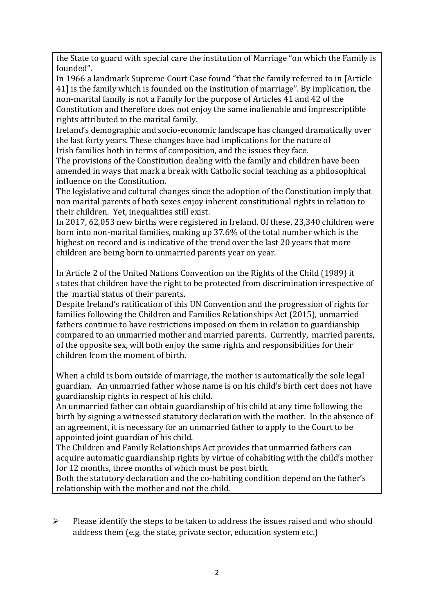the State to guard with special care the institution of Marriage "on which the Family is founded".

In 1966 a landmark Supreme Court Case found "that the family referred to in [Article 41] is the family which is founded on the institution of marriage". By implication, the non-marital family is not a Family for the purpose of Articles 41 and 42 of the Constitution and therefore does not enjoy the same inalienable and imprescriptible rights attributed to the marital family.

Ireland's demographic and socio-economic landscape has changed dramatically over the last forty years. These changes have had implications for the nature of Irish families both in terms of composition, and the issues they face.

The provisions of the Constitution dealing with the family and children have been amended in ways that mark a break with Catholic social teaching as a philosophical influence on the Constitution.

The legislative and cultural changes since the adoption of the Constitution imply that non marital parents of both sexes enjoy inherent constitutional rights in relation to their children. Yet, inequalities still exist.

In 2017, 62,053 new births were registered in Ireland. Of these, 23,340 children were born into non-marital families, making up 37.6% of the total number which is the highest on record and is indicative of the trend over the last 20 years that more children are being born to unmarried parents year on year.

In Article 2 of the United Nations Convention on the Rights of the Child (1989) it states that children have the right to be protected from discrimination irrespective of the martial status of their parents.

Despite Ireland's ratification of this UN Convention and the progression of rights for families following the Children and Families Relationships Act (2015), unmarried fathers continue to have restrictions imposed on them in relation to guardianship compared to an unmarried mother and married parents. Currently, married parents, of the opposite sex, will both enjoy the same rights and responsibilities for their children from the moment of birth.

When a child is born outside of marriage, the mother is automatically the sole legal guardian. An unmarried father whose name is on his child's birth cert does not have guardianship rights in respect of his child.

An unmarried father can obtain guardianship of his child at any time following the birth by signing a witnessed statutory declaration with the mother. In the absence of an agreement, it is necessary for an unmarried father to apply to the Court to be appointed joint guardian of his child.

The Children and Family Relationships Act provides that unmarried fathers can acquire automatic guardianship rights by virtue of cohabiting with the child's mother for 12 months, three months of which must be post birth.

Both the statutory declaration and the co-habiting condition depend on the father's relationship with the mother and not the child.

➢ Please identify the steps to be taken to address the issues raised and who should address them (e.g. the state, private sector, education system etc.)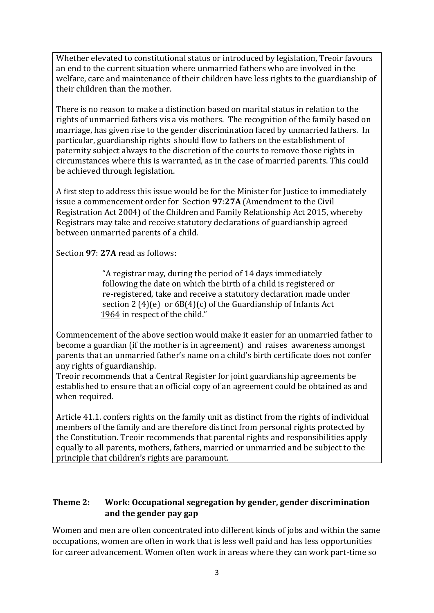Whether elevated to constitutional status or introduced by legislation, Treoir favours an end to the current situation where unmarried fathers who are involved in the welfare, care and maintenance of their children have less rights to the guardianship of their children than the mother.

There is no reason to make a distinction based on marital status in relation to the rights of unmarried fathers vis a vis mothers. The recognition of the family based on marriage, has given rise to the gender discrimination faced by unmarried fathers. In particular, guardianship rights should flow to fathers on the establishment of paternity subject always to the discretion of the courts to remove those rights in circumstances where this is warranted, as in the case of married parents. This could be achieved through legislation.

A first step to address this issue would be for the Minister for Justice to immediately issue a commencement order for Section **97**:**27A** (Amendment to the Civil Registration Act 2004) of the Children and Family Relationship Act 2015, whereby Registrars may take and receive statutory declarations of guardianship agreed between unmarried parents of a child.

Section **97**: **27A** read as follows:

 "A registrar may, during the period of 14 days immediately following the date on which the birth of a child is registered or re-registered, take and receive a statutory declaration made under section  $2(4)(e)$  or  $6B(4)(c)$  of the Guardianship of Infants Act 1964 in respect of the child."

Commencement of the above section would make it easier for an unmarried father to become a guardian (if the mother is in agreement) and raises awareness amongst parents that an unmarried father's name on a child's birth certificate does not confer any rights of guardianship.

Treoir recommends that a Central Register for joint guardianship agreements be established to ensure that an official copy of an agreement could be obtained as and when required.

Article 41.1. confers rights on the family unit as distinct from the rights of individual members of the family and are therefore distinct from personal rights protected by the Constitution. Treoir recommends that parental rights and responsibilities apply equally to all parents, mothers, fathers, married or unmarried and be subject to the principle that children's rights are paramount.

# **Theme 2: Work: Occupational segregation by gender, gender discrimination and the gender pay gap**

Women and men are often concentrated into different kinds of jobs and within the same occupations, women are often in work that is less well paid and has less opportunities for career advancement. Women often work in areas where they can work part-time so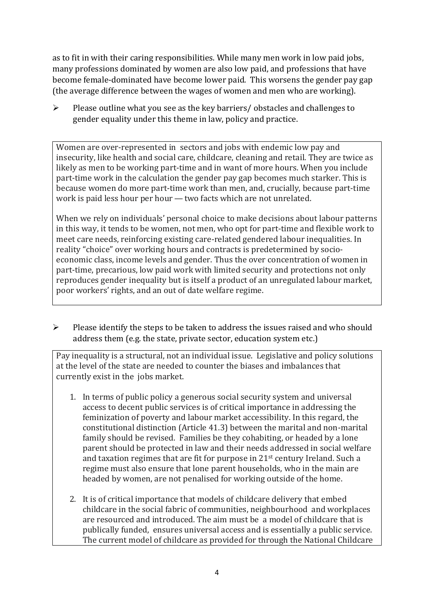as to fit in with their caring responsibilities. While many men work in low paid jobs, many professions dominated by women are also low paid, and professions that have become female-dominated have become lower paid. This worsens the gender pay gap (the average difference between the wages of women and men who are working).

➢ Please outline what you see as the key barriers/ obstacles and challenges to gender equality under this theme in law, policy and practice.

Women are over-represented in sectors and jobs with endemic low pay and insecurity, like health and social care, childcare, cleaning and retail. They are twice as likely as men to be working part-time and in want of more hours. When you include part-time work in the calculation the gender pay gap becomes much starker. This is because women do more part-time work than men, and, crucially, because part-time work is paid less hour per hour— two facts which are not unrelated.

When we rely on individuals' personal choice to make decisions about labour patterns in this way, it tends to be women, not men, who opt for part-time and flexible work to meet care needs, reinforcing existing care-related gendered labour inequalities. In reality "choice" over working hours and contracts is predetermined by socioeconomic class, income levels and gender. Thus the over concentration of women in part-time, precarious, low paid work with limited security and protections not only reproduces gender inequality but is itself a product of an unregulated labour market, poor workers' rights, and an out of date welfare regime.

➢ Please identify the steps to be taken to address the issues raised and who should address them (e.g. the state, private sector, education system etc.)

Pay inequality is a structural, not an individual issue. Legislative and policy solutions at the level of the state are needed to counter the biases and imbalances that currently exist in the jobs market.

- 1. In terms of public policy a generous social security system and universal access to decent public services is of critical importance in addressing the feminization of poverty and labour market accessibility. In this regard, the constitutional distinction (Article 41.3) between the marital and non-marital family should be revised. Families be they cohabiting, or headed by a lone parent should be protected in law and their needs addressed in social welfare and taxation regimes that are fit for purpose in 21st century Ireland. Such a regime must also ensure that lone parent households, who in the main are headed by women, are not penalised for working outside of the home.
- 2. It is of critical importance that models of childcare delivery that embed childcare in the social fabric of communities, neighbourhood and workplaces are resourced and introduced. The aim must be a model of childcare that is publically funded, ensures universal access and is essentially a public service. The current model of childcare as provided for through the National Childcare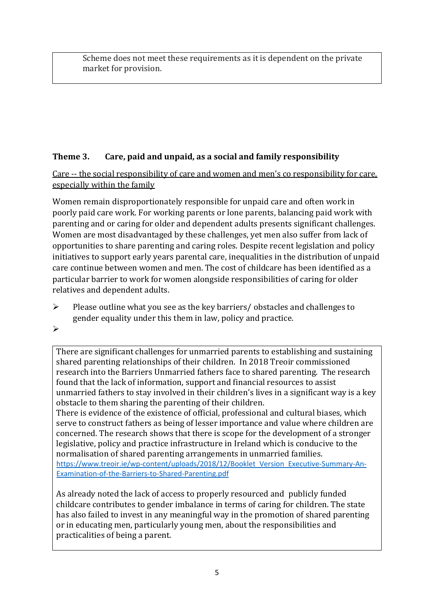Scheme does not meet these requirements as it is dependent on the private market for provision.

# **Theme 3. Care, paid and unpaid, as a social and family responsibility**

Care -- the social responsibility of care and women and men's co responsibility for care, especially within the family

Women remain disproportionately responsible for unpaid care and often work in poorly paid care work. For working parents or [lone parents,](https://aran.library.nuigalway.ie/bitstream/handle/10379/6044/Millar_and_Crosse_Activation_Report.pdf?sequence=1&isAllowed=y) balancing paid work with parenting and or caring for older and dependent adults presents significant challenges. Women are [most disadvantaged by](https://eige.europa.eu/gender-equality-index/game/IE/W) these challenges, yet men also suffer from lack of opportunities to share parenting and caring roles. Despite recent legislation and policy initiatives to support early years parental care, [inequalities in the distribution of unpaid](https://www.ihrec.ie/app/uploads/2019/07/Caring-and-Unpaid-Work-in-Ireland_Final.pdf)  [care](https://www.ihrec.ie/app/uploads/2019/07/Caring-and-Unpaid-Work-in-Ireland_Final.pdf) continue between women and men. The cost of childcare has been identified as a particular barrier to work for women alongside responsibilities of caring for older relatives and dependent adults.

- ➢ Please outline what you see as the key barriers/ obstacles and challenges to gender equality under this them in law, policy and practice.
- ➢

There are significant challenges for unmarried parents to establishing and sustaining shared parenting relationships of their children. In 2018 Treoir commissioned research into the Barriers Unmarried fathers face to shared parenting. The research found that the lack of information, support and financial resources to assist unmarried fathers to stay involved in their children's lives in a significant way is a key obstacle to them sharing the parenting of their children.

There is evidence of the existence of official, professional and cultural biases, which serve to construct fathers as being of lesser importance and value where children are concerned. The research shows that there is scope for the development of a stronger legislative, policy and practice infrastructure in Ireland which is conducive to the normalisation of shared parenting arrangements in unmarried families. [https://www.treoir.ie/wp-content/uploads/2018/12/Booklet\\_Version\\_Executive-Summary-An-](https://www.treoir.ie/wp-content/uploads/2018/12/Booklet_Version_Executive-Summary-An-Examination-of-the-Barriers-to-Shared-Parenting.pdf)[Examination-of-the-Barriers-to-Shared-Parenting.pdf](https://www.treoir.ie/wp-content/uploads/2018/12/Booklet_Version_Executive-Summary-An-Examination-of-the-Barriers-to-Shared-Parenting.pdf)

As already noted the lack of access to properly resourced and publicly funded childcare contributes to gender imbalance in terms of caring for children. The state has also failed to invest in any meaningful way in the promotion of shared parenting or in educating men, particularly young men, about the responsibilities and practicalities of being a parent.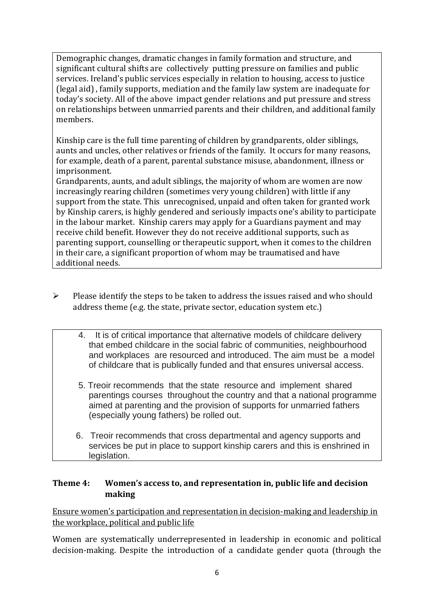Demographic changes, dramatic changes in family formation and structure, and significant cultural shifts are collectively putting pressure on families and public services. Ireland's public services especially in relation to housing, access to justice (legal aid) , family supports, mediation and the family law system are inadequate for today's society. All of the above impact gender relations and put pressure and stress on relationships between unmarried parents and their children, and additional family members.

Kinship care is the full time parenting of children by grandparents, older siblings, aunts and uncles, other relatives or friends of the family. It occurs for many reasons, for example, death of a parent, parental substance misuse, abandonment, illness or imprisonment.

Grandparents, aunts, and adult siblings, the majority of whom are women are now increasingly rearing children (sometimes very young children) with little if any support from the state. This unrecognised, unpaid and often taken for granted work by Kinship carers, is highly gendered and seriously impacts one's ability to participate in the labour market. Kinship carers may apply for a Guardians payment and may receive child benefit. However they do not receive additional supports, such as parenting support, counselling or therapeutic support, when it comes to the children in their care, a significant proportion of whom may be traumatised and have additional needs.

- $\triangleright$  Please identify the steps to be taken to address the issues raised and who should address theme (e.g. the state, private sector, education system etc.)
	- 4. It is of critical importance that alternative models of childcare delivery that embed childcare in the social fabric of communities, neighbourhood and workplaces are resourced and introduced. The aim must be a model of childcare that is publically funded and that ensures universal access.
	- 5. Treoir recommends that the state resource and implement shared parentings courses throughout the country and that a national programme aimed at parenting and the provision of supports for unmarried fathers (especially young fathers) be rolled out.
	- 6. Treoir recommends that cross departmental and agency supports and services be put in place to support kinship carers and this is enshrined in legislation.

## **Theme 4: Women's access to, and representation in, public life and decision making**

Ensure women's participation and representation in decision-making and leadership in the workplace, political and public life

Women are systematically underrepresented in leadership in [economic](https://eige.europa.eu/gender-equality-index/2019/compare-countries/power/2/bar) and [political](https://eige.europa.eu/gender-equality-index/2019/compare-countries/power/1/bar)  [decision-](https://eige.europa.eu/gender-equality-index/2019/compare-countries/power/1/bar)making. Despite the introduction of a candidate gender quota (through the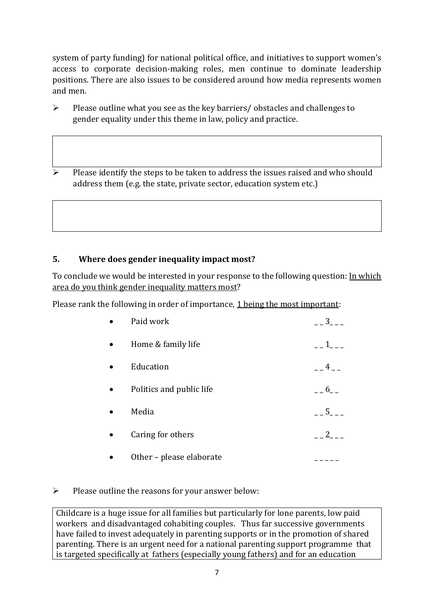system of party funding) for national political office, and [initiatives](https://betterbalance.ie/) to support women's access to corporate decision-making roles, men continue to dominate leadership positions. There are also issues to be considered around how media represents women and men.

➢ Please outline what you see as the key barriers/ obstacles and challenges to gender equality under this theme in law, policy and practice.

➢ Please identify the steps to be taken to address the issues raised and who should address them (e.g. the state, private sector, education system etc.)

# **5. Where does gender inequality impact most?**

To conclude we would be interested in your response to the following question: In which area do you think gender inequality matters most?

Please rank the following in order of importance, 1 being the most important:

| Paid work                | 3 <sup>7</sup>         |
|--------------------------|------------------------|
| Home & family life       | $1 \quad \blacksquare$ |
| Education                | 4                      |
| Politics and public life | $6\overline{6}$        |
| Media                    | 5                      |
| Caring for others        | $2^{\circ}$            |
| Other - please elaborate |                        |

# ➢ Please outline the reasons for your answer below:

Childcare is a huge issue for all families but particularly for lone parents, low paid workers and disadvantaged cohabiting couples. Thus far successive governments have failed to invest adequately in parenting supports or in the promotion of shared parenting. There is an urgent need for a national parenting support programme that is targeted specifically at fathers (especially young fathers) and for an education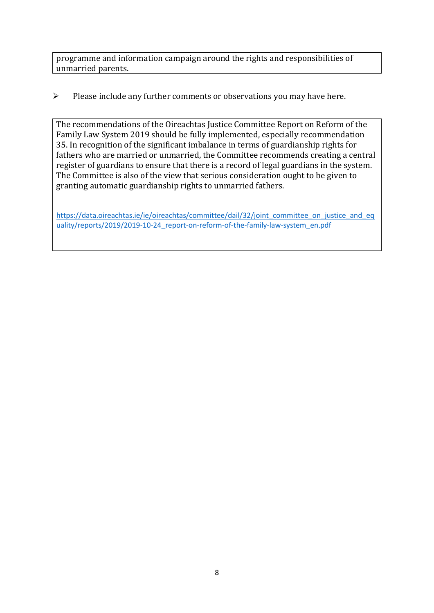programme and information campaign around the rights and responsibilities of unmarried parents.

# ➢ Please include any further comments or observations you may have here.

The recommendations of the Oireachtas Justice Committee Report on Reform of the Family Law System 2019 should be fully implemented, especially recommendation 35. In recognition of the significant imbalance in terms of guardianship rights for fathers who are married or unmarried, the Committee recommends creating a central register of guardians to ensure that there is a record of legal guardians in the system. The Committee is also of the view that serious consideration ought to be given to granting automatic guardianship rights to unmarried fathers.

[https://data.oireachtas.ie/ie/oireachtas/committee/dail/32/joint\\_committee\\_on\\_justice\\_and\\_eq](https://data.oireachtas.ie/ie/oireachtas/committee/dail/32/joint_committee_on_justice_and_equality/reports/2019/2019-10-24_report-on-reform-of-the-family-law-system_en.pdf) uality/reports/2019/2019-10-24 report-on-reform-of-the-family-law-system\_en.pdf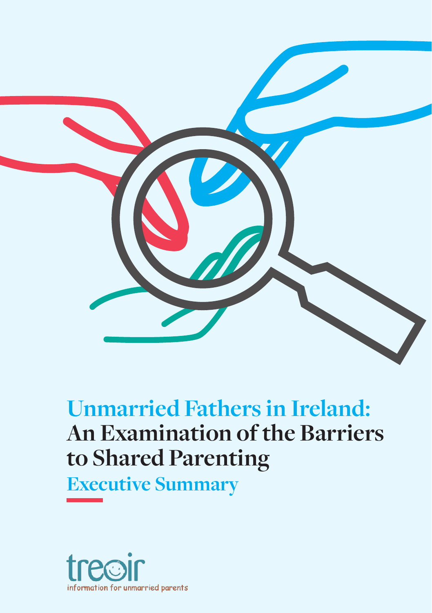

# **Unmarried Fathers in Ireland: An Examination of the Barriers** to Shared Parenting

**Executive Summary** 

**to Shared Parenting**

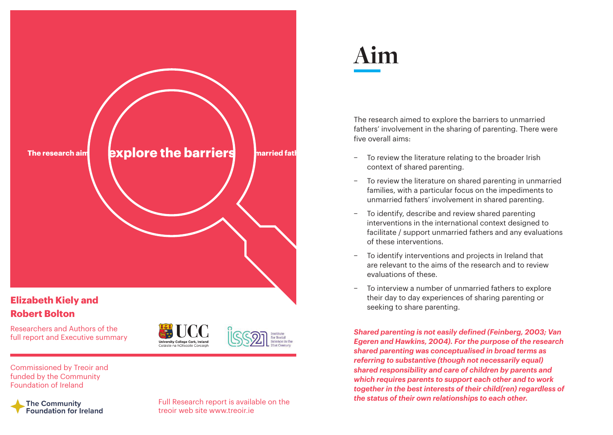

# **Elizabeth Kiely and Robert Bolton**

Researchers and Authors of the full report and Executive summary





Commissioned by Treoir and funded by the Community Foundation of Ireland

### The Community **Foundation for Ireland**

Full Research report is available on the treoir web site www.treoir.ie

# **Aim**

The research aimed to explore the barriers to unmarried fathers' involvement in the sharing of parenting. There were five overall aims:

- − To review the literature relating to the broader Irish context of shared parenting.
- − To review the literature on shared parenting in unmarried families, with a particular focus on the impediments to unmarried fathers' involvement in shared parenting.
- To identify, describe and review shared parenting interventions in the international context designed to facilitate / support unmarried fathers and any evaluations of these interventions.
- To identify interventions and projects in Ireland that are relevant to the aims of the research and to review evaluations of these.
- − To interview a number of unmarried fathers to explore their day to day experiences of sharing parenting or seeking to share parenting.

*Shared parenting is not easily defined (Feinberg, 2003; Van Egeren and Hawkins, 2004). For the purpose of the research shared parenting was conceptualised in broad terms as referring to substantive (though not necessarily equal) shared responsibility and care of children by parents and which requires parents to support each other and to work together in the best interests of their child(ren) regardless of the status of their own relationships to each other.*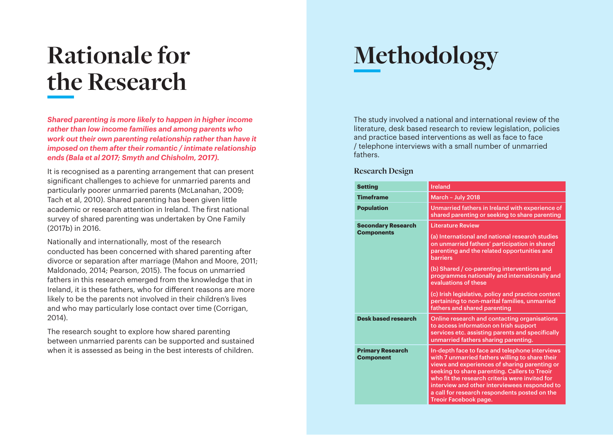# **Rationale for the Research**

*Shared parenting is more likely to happen in higher income rather than low income families and among parents who work out their own parenting relationship rather than have it imposed on them after their romantic / intimate relationship ends (Bala et al 2017; Smyth and Chisholm, 2017).*

It is recognised as a parenting arrangement that can present significant challenges to achieve for unmarried parents and particularly poorer unmarried parents (McLanahan, 2009; Tach et al, 2010). Shared parenting has been given little academic or research attention in Ireland. The first national survey of shared parenting was undertaken by One Family (2017b) in 2016.

Nationally and internationally, most of the research conducted has been concerned with shared parenting after divorce or separation after marriage (Mahon and Moore, 2011; Maldonado, 2014; Pearson, 2015). The focus on unmarried fathers in this research emerged from the knowledge that in Ireland, it is these fathers, who for different reasons are more likely to be the parents not involved in their children's lives and who may particularly lose contact over time (Corrigan, 2014).

The research sought to explore how shared parenting between unmarried parents can be supported and sustained when it is assessed as being in the best interests of children.

# **Methodology**

The study involved a national and international review of the literature, desk based research to review legislation, policies and practice based interventions as well as face to face / telephone interviews with a small number of unmarried fathers.

### **Research Design**

| <b>Setting</b>                              | <b>Ireland</b>                                                                                                                                                                                                                                                                                                                                                                   |
|---------------------------------------------|----------------------------------------------------------------------------------------------------------------------------------------------------------------------------------------------------------------------------------------------------------------------------------------------------------------------------------------------------------------------------------|
|                                             |                                                                                                                                                                                                                                                                                                                                                                                  |
| <b>Timeframe</b>                            | March - July 2018                                                                                                                                                                                                                                                                                                                                                                |
| <b>Population</b>                           | Unmarried fathers in Ireland with experience of<br>shared parenting or seeking to share parenting                                                                                                                                                                                                                                                                                |
| <b>Secondary Research</b>                   | <b>Literature Review</b>                                                                                                                                                                                                                                                                                                                                                         |
| <b>Components</b>                           | (a) International and national research studies<br>on unmarried fathers' participation in shared<br>parenting and the related opportunities and<br><b>barriers</b>                                                                                                                                                                                                               |
|                                             | (b) Shared / co-parenting interventions and<br>programmes nationally and internationally and<br>evaluations of these                                                                                                                                                                                                                                                             |
|                                             | (c) Irish legislative, policy and practice context<br>pertaining to non-marital families, unmarried<br>fathers and shared parenting                                                                                                                                                                                                                                              |
| <b>Desk based research</b>                  | Online research and contacting organisations<br>to access information on Irish support<br>services etc. assisting parents and specifically<br>unmarried fathers sharing parenting.                                                                                                                                                                                               |
| <b>Primary Research</b><br><b>Component</b> | In-depth face to face and telephone interviews<br>with 7 unmarried fathers willing to share their<br>views and experiences of sharing parenting or<br>seeking to share parenting. Callers to Treoir<br>who fit the research criteria were invited for<br>interview and other interviewees responded to<br>a call for research respondents posted on the<br>Treoir Facebook page. |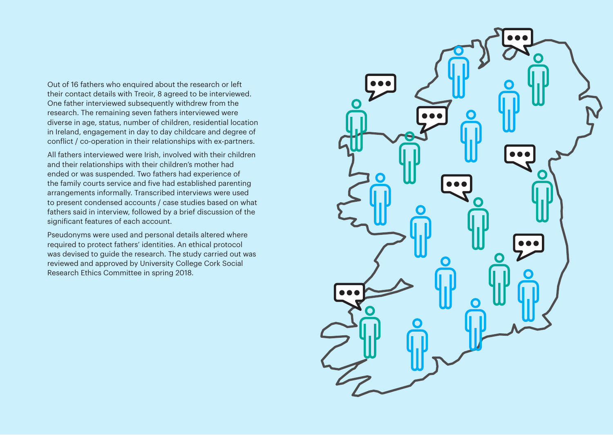Out of 16 fathers who enquired about the research or left their contact details with Treoir, 8 agreed to be interviewed. One father interviewed subsequently withdrew from the research. The remaining seven fathers interviewed were diverse in age, status, number of children, residential location in Ireland, engagement in day to day childcare and degree of conflict / co-operation in their relationships with ex-partners.

All fathers interviewed were Irish, involved with their children and their relationships with their children's mother had ended or was suspended. Two fathers had experience of the family courts service and five had established parenting arrangements informally. Transcribed interviews were used to present condensed accounts / case studies based on what fathers said in interview, followed by a brief discussion of the significant features of each account.

Pseudonyms were used and personal details altered where required to protect fathers' identities. An ethical protocol was devised to guide the research. The study carried out was reviewed and approved by University College Cork Social Research Ethics Committee in spring 2018.

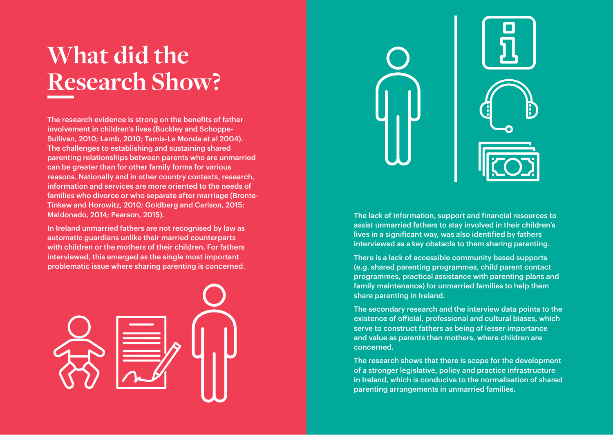# **What did the Research Show?**

The research evidence is strong on the benefits of father involvement in children's lives (Buckley and Schoppe-Sullivan, 2010; Lamb, 2010; Tamis-Le Monda et al 2004). The challenges to establishing and sustaining shared parenting relationships between parents who are unmarried can be greater than for other family forms for various reasons. Nationally and in other country contexts, research, information and services are more oriented to the needs of families who divorce or who separate after marriage (Bronte-Tinkew and Horowitz, 2010; Goldberg and Carlson, 2015; Maldonado, 2014; Pearson, 2015).

In Ireland unmarried fathers are not recognised by law as automatic guardians unlike their married counterparts with children or the mothers of their children. For fathers interviewed, this emerged as the single most important problematic issue where sharing parenting is concerned.





The lack of information, support and financial resources to assist unmarried fathers to stay involved in their children's lives in a significant way, was also identified by fathers interviewed as a key obstacle to them sharing parenting.

There is a lack of accessible community based supports (e.g. shared parenting programmes, child parent contact programmes, practical assistance with parenting plans and family maintenance) for unmarried families to help them share parenting in Ireland.

The secondary research and the interview data points to the existence of official, professional and cultural biases, which serve to construct fathers as being of lesser importance and value as parents than mothers, where children are concerned.

The research shows that there is scope for the development of a stronger legislative, policy and practice infrastructure in Ireland, which is conducive to the normalisation of shared parenting arrangements in unmarried families.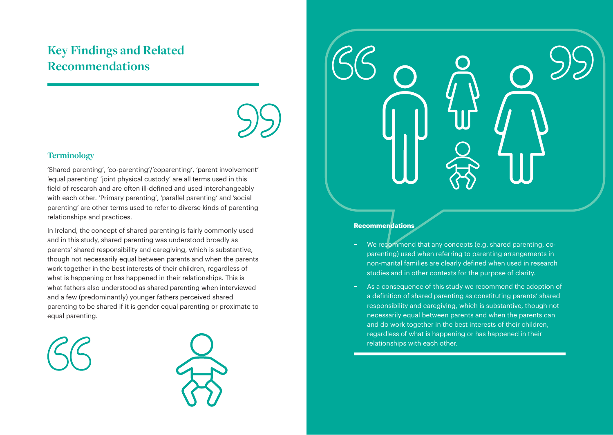# **Key Findings and Related Recommendations**



### **Terminology**

'Shared parenting', 'co-parenting'/'coparenting', 'parent involvement' 'equal parenting' 'joint physical custody' are all terms used in this field of research and are often ill-defined and used interchangeably with each other. 'Primary parenting', 'parallel parenting' and 'social parenting' are other terms used to refer to diverse kinds of parenting relationships and practices.

In Ireland, the concept of shared parenting is fairly commonly used and in this study, shared parenting was understood broadly as parents' shared responsibility and caregiving, which is substantive, though not necessarily equal between parents and when the parents work together in the best interests of their children, regardless of what is happening or has happened in their relationships. This is what fathers also understood as shared parenting when interviewed and a few (predominantly) younger fathers perceived shared parenting to be shared if it is gender equal parenting or proximate to equal parenting.





- − We recommend that any concepts (e.g. shared parenting, coparenting) used when referring to parenting arrangements in non-marital families are clearly defined when used in research studies and in other contexts for the purpose of clarity.
- As a consequence of this study we recommend the adoption of a definition of shared parenting as constituting parents' shared responsibility and caregiving, which is substantive, though not necessarily equal between parents and when the parents can and do work together in the best interests of their children. regardless of what is happening or has happened in their relationships with each other.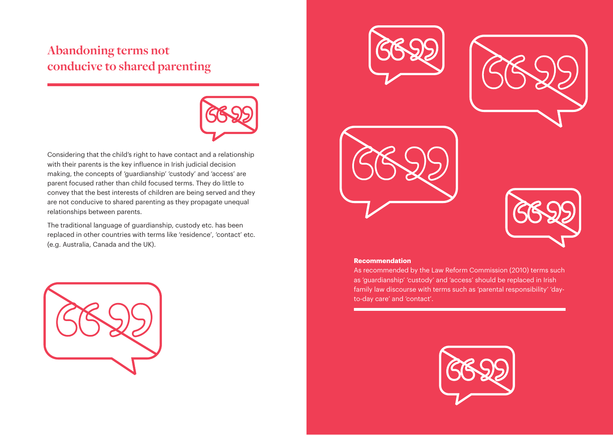# **Abandoning terms not conducive to shared parenting**



Considering that the child's right to have contact and a relationship with their parents is the key influence in Irish judicial decision making, the concepts of 'guardianship' 'custody' and 'access' are parent focused rather than child focused terms. They do little to convey that the best interests of children are being served and they are not conducive to shared parenting as they propagate unequal relationships between parents.

The traditional language of guardianship, custody etc. has been replaced in other countries with terms like 'residence', 'contact' etc. (e.g. Australia, Canada and the UK).











#### **Recommendation**

As recommended by the Law Reform Commission (2010) terms such as 'guardianship' 'custody' and 'access' should be replaced in Irish family law discourse with terms such as 'parental responsibility' 'dayto-day care' and 'contact'.

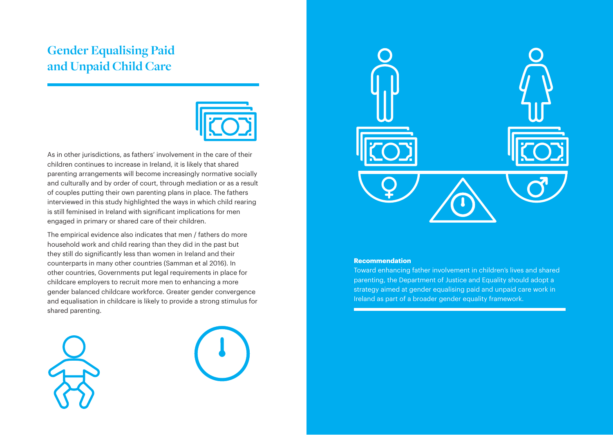# **Gender Equalising Paid and Unpaid Child Care**



As in other jurisdictions, as fathers' involvement in the care of their children continues to increase in Ireland, it is likely that shared parenting arrangements will become increasingly normative socially and culturally and by order of court, through mediation or as a result of couples putting their own parenting plans in place. The fathers interviewed in this study highlighted the ways in which child rearing is still feminised in Ireland with significant implications for men engaged in primary or shared care of their children.

The empirical evidence also indicates that men / fathers do more household work and child rearing than they did in the past but they still do significantly less than women in Ireland and their counterparts in many other countries (Samman et al 2016). In other countries, Governments put legal requirements in place for childcare employers to recruit more men to enhancing a more gender balanced childcare workforce. Greater gender convergence and equalisation in childcare is likely to provide a strong stimulus for shared parenting.







#### **Recommendation**

Toward enhancing father involvement in children's lives and shared parenting, the Department of Justice and Equality should adopt a strategy aimed at gender equalising paid and unpaid care work in Ireland as part of a broader gender equality framework.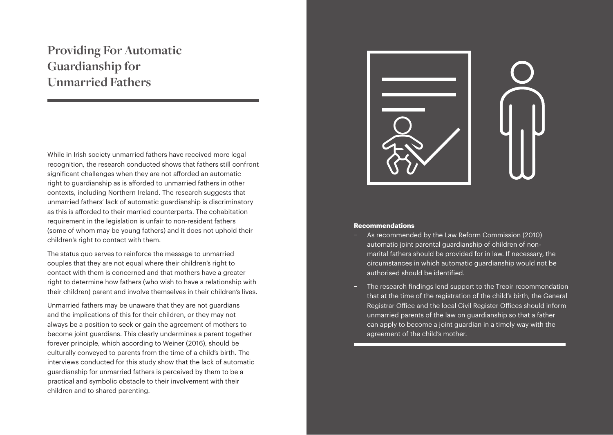# **Providing For Automatic Guardianship for Unmarried Fathers**

While in Irish society unmarried fathers have received more legal recognition, the research conducted shows that fathers still confront significant challenges when they are not afforded an automatic right to guardianship as is afforded to unmarried fathers in other contexts, including Northern Ireland. The research suggests that unmarried fathers' lack of automatic guardianship is discriminatory as this is afforded to their married counterparts. The cohabitation requirement in the legislation is unfair to non-resident fathers (some of whom may be young fathers) and it does not uphold their children's right to contact with them.

The status quo serves to reinforce the message to unmarried couples that they are not equal where their children's right to contact with them is concerned and that mothers have a greater right to determine how fathers (who wish to have a relationship with their children) parent and involve themselves in their children's lives.

Unmarried fathers may be unaware that they are not guardians and the implications of this for their children, or they may not always be a position to seek or gain the agreement of mothers to become joint guardians. This clearly undermines a parent together forever principle, which according to Weiner (2016), should be culturally conveyed to parents from the time of a child's birth. The interviews conducted for this study show that the lack of automatic guardianship for unmarried fathers is perceived by them to be a practical and symbolic obstacle to their involvement with their children and to shared parenting.



- − As recommended by the Law Reform Commission (2010) automatic joint parental guardianship of children of nonmarital fathers should be provided for in law. If necessary, the circumstances in which automatic guardianship would not be authorised should be identified.
- The research findings lend support to the Treoir recommendation that at the time of the registration of the child's birth, the General Registrar Office and the local Civil Register Offices should inform unmarried parents of the law on guardianship so that a father can apply to become a joint guardian in a timely way with the agreement of the child's mother.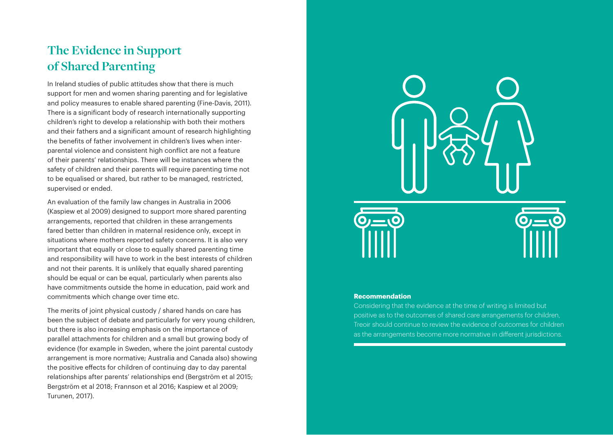# **The Evidence in Support of Shared Parenting**

In Ireland studies of public attitudes show that there is much support for men and women sharing parenting and for legislative and policy measures to enable shared parenting (Fine-Davis, 2011). There is a significant body of research internationally supporting children's right to develop a relationship with both their mothers and their fathers and a significant amount of research highlighting the benefits of father involvement in children's lives when interparental violence and consistent high conflict are not a feature of their parents' relationships. There will be instances where the safety of children and their parents will require parenting time not to be equalised or shared, but rather to be managed, restricted, supervised or ended.

An evaluation of the family law changes in Australia in 2006 (Kaspiew et al 2009) designed to support more shared parenting arrangements, reported that children in these arrangements fared better than children in maternal residence only, except in situations where mothers reported safety concerns. It is also very important that equally or close to equally shared parenting time and responsibility will have to work in the best interests of children and not their parents. It is unlikely that equally shared parenting should be equal or can be equal, particularly when parents also have commitments outside the home in education, paid work and commitments which change over time etc.

The merits of joint physical custody / shared hands on care has been the subject of debate and particularly for very young children, but there is also increasing emphasis on the importance of parallel attachments for children and a small but growing body of evidence (for example in Sweden, where the joint parental custody arrangement is more normative; Australia and Canada also) showing the positive effects for children of continuing day to day parental relationships after parents' relationships end (Bergström et al 2015; Bergström et al 2018; Frannson et al 2016; Kaspiew et al 2009; Turunen, 2017).



#### **Recommendation**

Considering that the evidence at the time of writing is limited but positive as to the outcomes of shared care arrangements for children, Treoir should continue to review the evidence of outcomes for children as the arrangements become more normative in different jurisdictions.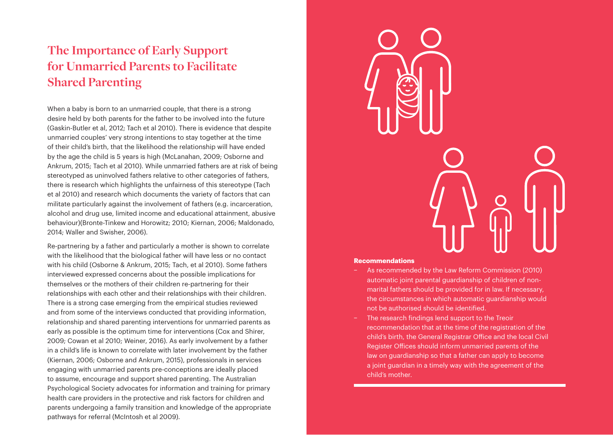# **The Importance of Early Support for Unmarried Parents to Facilitate Shared Parenting**

When a baby is born to an unmarried couple, that there is a strong desire held by both parents for the father to be involved into the future (Gaskin-Butler et al, 2012; Tach et al 2010). There is evidence that despite unmarried couples' very strong intentions to stay together at the time of their child's birth, that the likelihood the relationship will have ended by the age the child is 5 years is high (McLanahan, 2009; Osborne and Ankrum, 2015; Tach et al 2010). While unmarried fathers are at risk of being stereotyped as uninvolved fathers relative to other categories of fathers, there is research which highlights the unfairness of this stereotype (Tach et al 2010) and research which documents the variety of factors that can militate particularly against the involvement of fathers (e.g. incarceration, alcohol and drug use, limited income and educational attainment, abusive behaviour)(Bronte-Tinkew and Horowitz; 2010; Kiernan, 2006; Maldonado, 2014; Waller and Swisher, 2006).

Re-partnering by a father and particularly a mother is shown to correlate with the likelihood that the biological father will have less or no contact with his child (Osborne & Ankrum, 2015; Tach, et al 2010). Some fathers interviewed expressed concerns about the possible implications for themselves or the mothers of their children re-partnering for their relationships with each other and their relationships with their children. There is a strong case emerging from the empirical studies reviewed and from some of the interviews conducted that providing information, relationship and shared parenting interventions for unmarried parents as early as possible is the optimum time for interventions (Cox and Shirer, 2009; Cowan et al 2010; Weiner, 2016). As early involvement by a father in a child's life is known to correlate with later involvement by the father (Kiernan, 2006; Osborne and Ankrum, 2015), professionals in services engaging with unmarried parents pre-conceptions are ideally placed to assume, encourage and support shared parenting. The Australian Psychological Society advocates for information and training for primary health care providers in the protective and risk factors for children and parents undergoing a family transition and knowledge of the appropriate pathways for referral (McIntosh et al 2009).



- − As recommended by the Law Reform Commission (2010) automatic joint parental guardianship of children of nonmarital fathers should be provided for in law. If necessary, the circumstances in which automatic guardianship would not be authorised should be identified.
- The research findings lend support to the Treoir recommendation that at the time of the registration of the child's birth, the General Registrar Office and the local Civil Register Offices should inform unmarried parents of the law on guardianship so that a father can apply to become a joint guardian in a timely way with the agreement of the child's mother.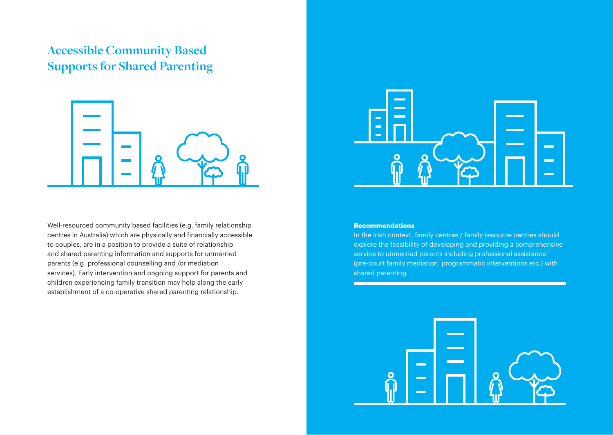# **Accessible Community Based Supports for Shared Parenting**



Well-resourced community based facilities (e.g. family relationship centres in Australia) which are physically and financially accessible to couples, are in a position to provide a suite of relationship and shared parenting information and supports for unmarried parents (e.g. professional counselling and /or mediation services). Early intervention and ongoing support for parents and children experiencing family transition may help along the early establishment of a co-operative shared parenting relationship.



#### **Recommendations**

In the Irish context, family centres / family resource centres should explore the feasibility of developing and providing a comprehensive service to unmarried parents including professional assistance (pre-court family mediation, programmatic interventions etc.) with shared parenting.

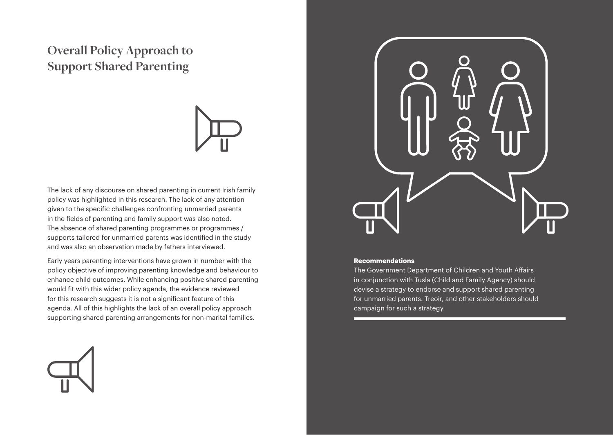# **Overall Policy Approach to Support Shared Parenting**



The lack of any discourse on shared parenting in current Irish family policy was highlighted in this research. The lack of any attention given to the specific challenges confronting unmarried parents in the fields of parenting and family support was also noted. The absence of shared parenting programmes or programmes / supports tailored for unmarried parents was identified in the study and was also an observation made by fathers interviewed.

Early years parenting interventions have grown in number with the policy objective of improving parenting knowledge and behaviour to enhance child outcomes. While enhancing positive shared parenting would fit with this wider policy agenda, the evidence reviewed for this research suggests it is not a significant feature of this agenda. All of this highlights the lack of an overall policy approach supporting shared parenting arrangements for non-marital families.



#### **Recommendations**

The Government Department of Children and Youth Affairs in conjunction with Tusla (Child and Family Agency) should devise a strategy to endorse and support shared parenting for unmarried parents. Treoir, and other stakeholders should campaign for such a strategy.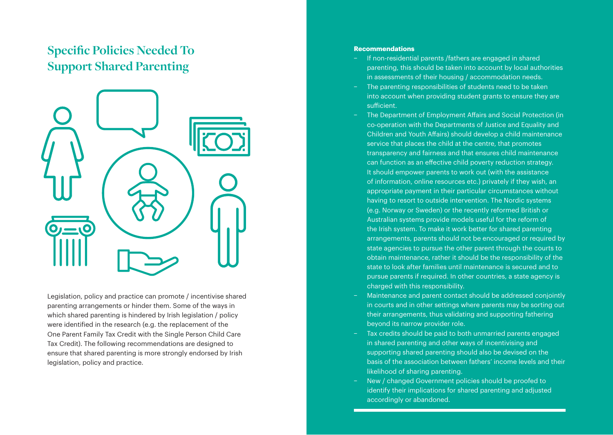# **Specific Policies Needed To Support Shared Parenting**



Legislation, policy and practice can promote / incentivise shared parenting arrangements or hinder them. Some of the ways in which shared parenting is hindered by Irish legislation / policy were identified in the research (e.g. the replacement of the One Parent Family Tax Credit with the Single Person Child Care Tax Credit). The following recommendations are designed to ensure that shared parenting is more strongly endorsed by Irish legislation, policy and practice.

- − If non-residential parents /fathers are engaged in shared parenting, this should be taken into account by local authorities in assessments of their housing / accommodation needs.
- The parenting responsibilities of students need to be taken into account when providing student grants to ensure they are sufficient.
- The Department of Employment Affairs and Social Protection (in co-operation with the Departments of Justice and Equality and Children and Youth Affairs) should develop a child maintenance service that places the child at the centre, that promotes transparency and fairness and that ensures child maintenance can function as an effective child poverty reduction strategy. It should empower parents to work out (with the assistance of information, online resources etc.) privately if they wish, an appropriate payment in their particular circumstances without having to resort to outside intervention. The Nordic systems (e.g. Norway or Sweden) or the recently reformed British or Australian systems provide models useful for the reform of the Irish system. To make it work better for shared parenting arrangements, parents should not be encouraged or required by state agencies to pursue the other parent through the courts to obtain maintenance, rather it should be the responsibility of the state to look after families until maintenance is secured and to pursue parents if required. In other countries, a state agency is charged with this responsibility.
- − Maintenance and parent contact should be addressed conjointly in courts and in other settings where parents may be sorting out their arrangements, thus validating and supporting fathering beyond its narrow provider role.
- Tax credits should be paid to both unmarried parents engaged in shared parenting and other ways of incentivising and supporting shared parenting should also be devised on the basis of the association between fathers' income levels and their likelihood of sharing parenting.
- − New / changed Government policies should be proofed to identify their implications for shared parenting and adjusted accordingly or abandoned.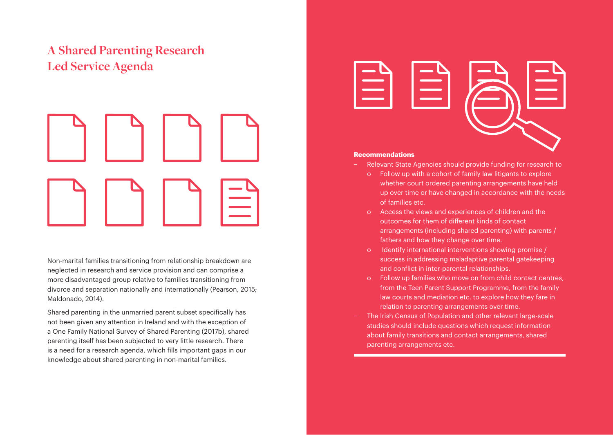# **A Shared Parenting Research Led Service Agenda**



Non-marital families transitioning from relationship breakdown are neglected in research and service provision and can comprise a more disadvantaged group relative to families transitioning from divorce and separation nationally and internationally (Pearson, 2015; Maldonado, 2014).

Shared parenting in the unmarried parent subset specifically has not been given any attention in Ireland and with the exception of a One Family National Survey of Shared Parenting (2017b), shared parenting itself has been subjected to very little research. There is a need for a research agenda, which fills important gaps in our knowledge about shared parenting in non-marital families.



- − Relevant State Agencies should provide funding for research to
	- o Follow up with a cohort of family law litigants to explore whether court ordered parenting arrangements have held up over time or have changed in accordance with the needs of families etc.
	- o Access the views and experiences of children and the outcomes for them of different kinds of contact arrangements (including shared parenting) with parents / fathers and how they change over time.
	- o Identify international interventions showing promise / success in addressing maladaptive parental gatekeeping and conflict in inter-parental relationships.
	- o Follow up families who move on from child contact centres, from the Teen Parent Support Programme, from the family law courts and mediation etc. to explore how they fare in relation to parenting arrangements over time.
- The Irish Census of Population and other relevant large-scale studies should include questions which request information about family transitions and contact arrangements, shared parenting arrangements etc.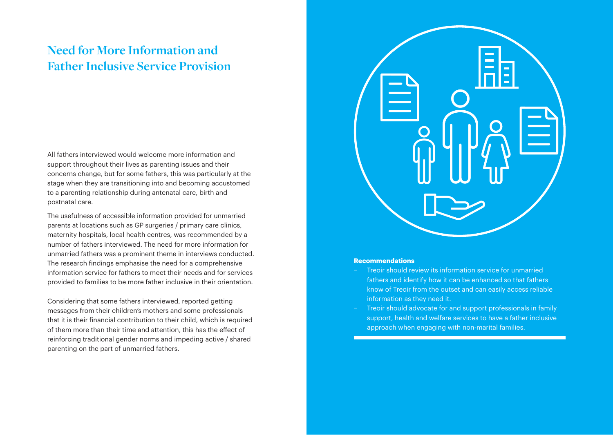# **Need for More Information and Father Inclusive Service Provision**

All fathers interviewed would welcome more information and support throughout their lives as parenting issues and their concerns change, but for some fathers, this was particularly at the stage when they are transitioning into and becoming accustomed to a parenting relationship during antenatal care, birth and postnatal care.

The usefulness of accessible information provided for unmarried parents at locations such as GP surgeries / primary care clinics, maternity hospitals, local health centres, was recommended by a number of fathers interviewed. The need for more information for unmarried fathers was a prominent theme in interviews conducted. The research findings emphasise the need for a comprehensive information service for fathers to meet their needs and for services provided to families to be more father inclusive in their orientation.

Considering that some fathers interviewed, reported getting messages from their children's mothers and some professionals that it is their financial contribution to their child, which is required of them more than their time and attention, this has the effect of reinforcing traditional gender norms and impeding active / shared parenting on the part of unmarried fathers.



- − Treoir should review its information service for unmarried fathers and identify how it can be enhanced so that fathers know of Treoir from the outset and can easily access reliable information as they need it.
- Treoir should advocate for and support professionals in family support, health and welfare services to have a father inclusive approach when engaging with non-marital families.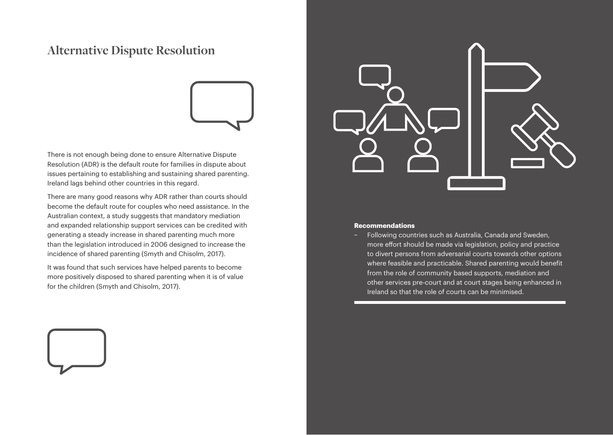# **Alternative Dispute Resolution**



There is not enough being done to ensure Alternative Dispute Resolution (ADR) is the default route for families in dispute about issues pertaining to establishing and sustaining shared parenting. Ireland lags behind other countries in this regard.

There are many good reasons why ADR rather than courts should become the default route for couples who need assistance. In the Australian context, a study suggests that mandatory mediation and expanded relationship support services can be credited with generating a steady increase in shared parenting much more than the legislation introduced in 2006 designed to increase the incidence of shared parenting (Smyth and Chisolm, 2017).

It was found that such services have helped parents to become more positively disposed to shared parenting when it is of value for the children (Smyth and Chisolm, 2017).



#### **Recommendations**

− Following countries such as Australia, Canada and Sweden, more effort should be made via legislation, policy and practice to divert persons from adversarial courts towards other options where feasible and practicable. Shared parenting would benefit from the role of community based supports, mediation and other services pre-court and at court stages being enhanced in Ireland so that the role of courts can be minimised.

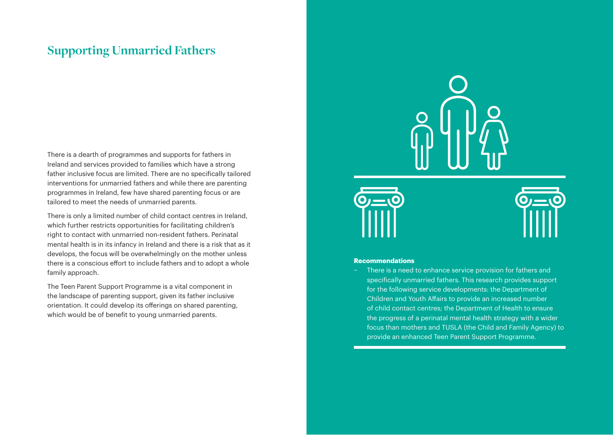# **Supporting Unmarried Fathers**

There is a dearth of programmes and supports for fathers in Ireland and services provided to families which have a strong father inclusive focus are limited. There are no specifically tailored interventions for unmarried fathers and while there are parenting programmes in Ireland, few have shared parenting focus or are tailored to meet the needs of unmarried parents.

There is only a limited number of child contact centres in Ireland, which further restricts opportunities for facilitating children's right to contact with unmarried non-resident fathers. Perinatal mental health is in its infancy in Ireland and there is a risk that as it develops, the focus will be overwhelmingly on the mother unless there is a conscious effort to include fathers and to adopt a whole family approach.

The Teen Parent Support Programme is a vital component in the landscape of parenting support, given its father inclusive orientation. It could develop its offerings on shared parenting, which would be of benefit to young unmarried parents.





#### **Recommendations**

There is a need to enhance service provision for fathers and specifically unmarried fathers. This research provides support for the following service developments: the Department of Children and Youth Affairs to provide an increased number of child contact centres; the Department of Health to ensure the progress of a perinatal mental health strategy with a wider focus than mothers and TUSLA (the Child and Family Agency) to provide an enhanced Teen Parent Support Programme.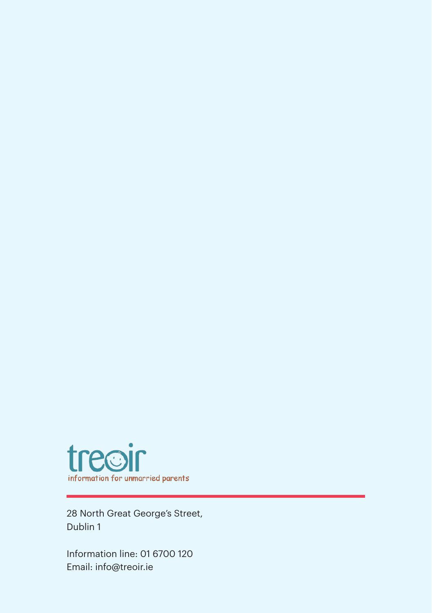

28 North Great George's Street, Dublin 1

Information line: 01 6700 120 Email: info@treoir.ie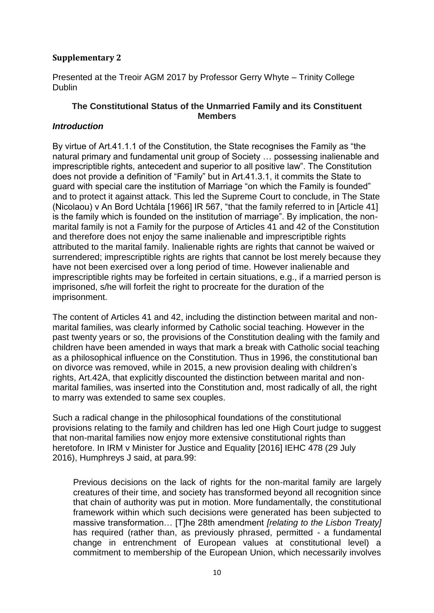## **Supplementary 2**

Presented at the Treoir AGM 2017 by Professor Gerry Whyte – Trinity College **Dublin** 

# **The Constitutional Status of the Unmarried Family and its Constituent Members**

### *Introduction*

By virtue of Art.41.1.1 of the Constitution, the State recognises the Family as "the natural primary and fundamental unit group of Society … possessing inalienable and imprescriptible rights, antecedent and superior to all positive law". The Constitution does not provide a definition of "Family" but in Art.41.3.1, it commits the State to guard with special care the institution of Marriage "on which the Family is founded" and to protect it against attack. This led the Supreme Court to conclude, in The State (Nicolaou) v An Bord Uchtála [1966] IR 567, "that the family referred to in [Article 41] is the family which is founded on the institution of marriage". By implication, the nonmarital family is not a Family for the purpose of Articles 41 and 42 of the Constitution and therefore does not enjoy the same inalienable and imprescriptible rights attributed to the marital family. Inalienable rights are rights that cannot be waived or surrendered; imprescriptible rights are rights that cannot be lost merely because they have not been exercised over a long period of time. However inalienable and imprescriptible rights may be forfeited in certain situations, e.g., if a married person is imprisoned, s/he will forfeit the right to procreate for the duration of the imprisonment.

The content of Articles 41 and 42, including the distinction between marital and nonmarital families, was clearly informed by Catholic social teaching. However in the past twenty years or so, the provisions of the Constitution dealing with the family and children have been amended in ways that mark a break with Catholic social teaching as a philosophical influence on the Constitution. Thus in 1996, the constitutional ban on divorce was removed, while in 2015, a new provision dealing with children's rights, Art.42A, that explicitly discounted the distinction between marital and nonmarital families, was inserted into the Constitution and, most radically of all, the right to marry was extended to same sex couples.

Such a radical change in the philosophical foundations of the constitutional provisions relating to the family and children has led one High Court judge to suggest that non-marital families now enjoy more extensive constitutional rights than heretofore. In IRM v Minister for Justice and Equality [2016] IEHC 478 (29 July 2016), Humphreys J said, at para.99:

Previous decisions on the lack of rights for the non-marital family are largely creatures of their time, and society has transformed beyond all recognition since that chain of authority was put in motion. More fundamentally, the constitutional framework within which such decisions were generated has been subjected to massive transformation… [T]he 28th amendment *[relating to the Lisbon Treaty]* has required (rather than, as previously phrased, permitted - a fundamental change in entrenchment of European values at constitutional level) a commitment to membership of the European Union, which necessarily involves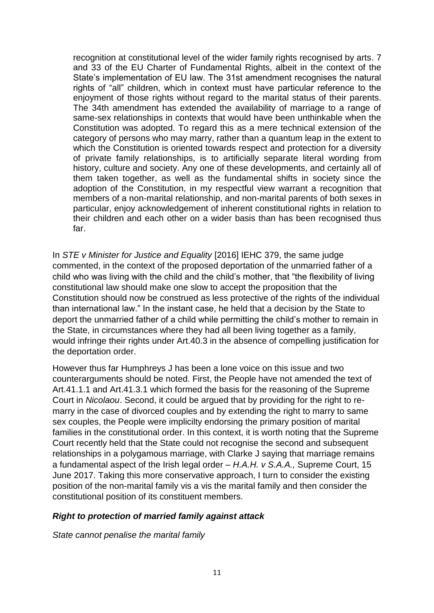recognition at constitutional level of the wider family rights recognised by arts. 7 and 33 of the EU Charter of Fundamental Rights, albeit in the context of the State's implementation of EU law. The 31st amendment recognises the natural rights of "all" children, which in context must have particular reference to the enjoyment of those rights without regard to the marital status of their parents. The 34th amendment has extended the availability of marriage to a range of same-sex relationships in contexts that would have been unthinkable when the Constitution was adopted. To regard this as a mere technical extension of the category of persons who may marry, rather than a quantum leap in the extent to which the Constitution is oriented towards respect and protection for a diversity of private family relationships, is to artificially separate literal wording from history, culture and society. Any one of these developments, and certainly all of them taken together, as well as the fundamental shifts in society since the adoption of the Constitution, in my respectful view warrant a recognition that members of a non-marital relationship, and non-marital parents of both sexes in particular, enjoy acknowledgement of inherent constitutional rights in relation to their children and each other on a wider basis than has been recognised thus far.

In *STE v Minister for Justice and Equality* [2016] IEHC 379, the same judge commented, in the context of the proposed deportation of the unmarried father of a child who was living with the child and the child's mother, that "the flexibility of living constitutional law should make one slow to accept the proposition that the Constitution should now be construed as less protective of the rights of the individual than international law." In the instant case, he held that a decision by the State to deport the unmarried father of a child while permitting the child's mother to remain in the State, in circumstances where they had all been living together as a family, would infringe their rights under Art.40.3 in the absence of compelling justification for the deportation order.

However thus far Humphreys J has been a lone voice on this issue and two counterarguments should be noted. First, the People have not amended the text of Art.41.1.1 and Art.41.3.1 which formed the basis for the reasoning of the Supreme Court in *Nicolaou*. Second, it could be argued that by providing for the right to remarry in the case of divorced couples and by extending the right to marry to same sex couples, the People were implicilty endorsing the primary position of marital families in the constitutional order. In this context, it is worth noting that the Supreme Court recently held that the State could not recognise the second and subsequent relationships in a polygamous marriage, with Clarke J saying that marriage remains a fundamental aspect of the Irish legal order – *H.A.H. v S.A.A.,* Supreme Court, 15 June 2017. Taking this more conservative approach, I turn to consider the existing position of the non-marital family vis a vis the marital family and then consider the constitutional position of its constituent members.

### *Right to protection of married family against attack*

*State cannot penalise the marital family*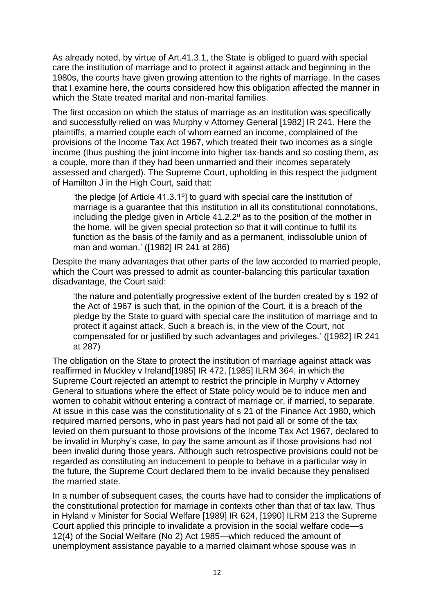As already noted, by virtue of Art.41.3.1, the State is obliged to guard with special care the institution of marriage and to protect it against attack and beginning in the 1980s, the courts have given growing attention to the rights of marriage. In the cases that I examine here, the courts considered how this obligation affected the manner in which the State treated marital and non-marital families.

The first occasion on which the status of marriage as an institution was specifically and successfully relied on was Murphy v Attorney General [1982] IR 241. Here the plaintiffs, a married couple each of whom earned an income, complained of the provisions of the Income Tax Act 1967, which treated their two incomes as a single income (thus pushing the joint income into higher tax-bands and so costing them, as a couple, more than if they had been unmarried and their incomes separately assessed and charged). The Supreme Court, upholding in this respect the judgment of Hamilton J in the High Court, said that:

'the pledge [of Article 41.3.1º] to guard with special care the institution of marriage is a guarantee that this institution in all its constitutional connotations, including the pledge given in Article 41.2.2º as to the position of the mother in the home, will be given special protection so that it will continue to fulfil its function as the basis of the family and as a permanent, indissoluble union of man and woman.' ([1982] IR 241 at 286)

Despite the many advantages that other parts of the law accorded to married people, which the Court was pressed to admit as counter-balancing this particular taxation disadvantage, the Court said:

'the nature and potentially progressive extent of the burden created by s 192 of the Act of 1967 is such that, in the opinion of the Court, it is a breach of the pledge by the State to guard with special care the institution of marriage and to protect it against attack. Such a breach is, in the view of the Court, not compensated for or justified by such advantages and privileges.' ([1982] IR 241 at 287)

The obligation on the State to protect the institution of marriage against attack was reaffirmed in Muckley v Ireland[1985] IR 472, [1985] ILRM 364, in which the Supreme Court rejected an attempt to restrict the principle in Murphy v Attorney General to situations where the effect of State policy would be to induce men and women to cohabit without entering a contract of marriage or, if married, to separate. At issue in this case was the constitutionality of s 21 of the Finance Act 1980, which required married persons, who in past years had not paid all or some of the tax levied on them pursuant to those provisions of the Income Tax Act 1967, declared to be invalid in Murphy's case, to pay the same amount as if those provisions had not been invalid during those years. Although such retrospective provisions could not be regarded as constituting an inducement to people to behave in a particular way in the future, the Supreme Court declared them to be invalid because they penalised the married state.

In a number of subsequent cases, the courts have had to consider the implications of the constitutional protection for marriage in contexts other than that of tax law. Thus in Hyland v Minister for Social Welfare [1989] IR 624, [1990] ILRM 213 the Supreme Court applied this principle to invalidate a provision in the social welfare code—s 12(4) of the Social Welfare (No 2) Act 1985—which reduced the amount of unemployment assistance payable to a married claimant whose spouse was in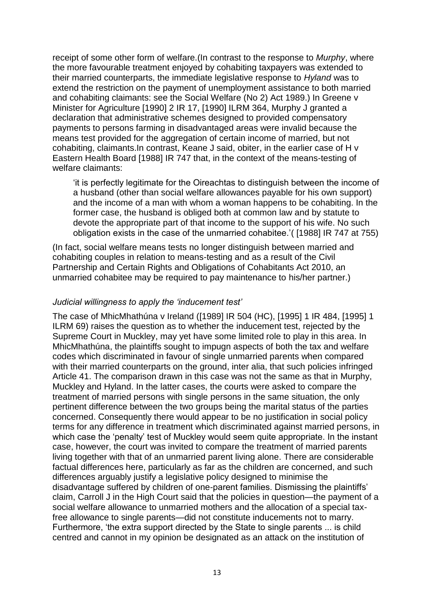receipt of some other form of welfare.(In contrast to the response to *Murphy*, where the more favourable treatment enjoyed by cohabiting taxpayers was extended to their married counterparts, the immediate legislative response to *Hyland* was to extend the restriction on the payment of unemployment assistance to both married and cohabiting claimants: see the Social Welfare (No 2) Act 1989.) In Greene v Minister for Agriculture [1990] 2 IR 17, [1990] ILRM 364, Murphy J granted a declaration that administrative schemes designed to provided compensatory payments to persons farming in disadvantaged areas were invalid because the means test provided for the aggregation of certain income of married, but not cohabiting, claimants.In contrast, Keane J said, obiter, in the earlier case of H v Eastern Health Board [1988] IR 747 that, in the context of the means-testing of welfare claimants:

'it is perfectly legitimate for the Oireachtas to distinguish between the income of a husband (other than social welfare allowances payable for his own support) and the income of a man with whom a woman happens to be cohabiting. In the former case, the husband is obliged both at common law and by statute to devote the appropriate part of that income to the support of his wife. No such obligation exists in the case of the unmarried cohabitee.'( [1988] IR 747 at 755)

(In fact, social welfare means tests no longer distinguish between married and cohabiting couples in relation to means-testing and as a result of the Civil Partnership and Certain Rights and Obligations of Cohabitants Act 2010, an unmarried cohabitee may be required to pay maintenance to his/her partner.)

### *Judicial willingness to apply the 'inducement test'*

The case of MhicMhathúna v Ireland ([1989] IR 504 (HC), [1995] 1 IR 484, [1995] 1 ILRM 69) raises the question as to whether the inducement test, rejected by the Supreme Court in Muckley, may yet have some limited role to play in this area. In MhicMhathúna, the plaintiffs sought to impugn aspects of both the tax and welfare codes which discriminated in favour of single unmarried parents when compared with their married counterparts on the ground, inter alia, that such policies infringed Article 41. The comparison drawn in this case was not the same as that in Murphy, Muckley and Hyland. In the latter cases, the courts were asked to compare the treatment of married persons with single persons in the same situation, the only pertinent difference between the two groups being the marital status of the parties concerned. Consequently there would appear to be no justification in social policy terms for any difference in treatment which discriminated against married persons, in which case the 'penalty' test of Muckley would seem quite appropriate. In the instant case, however, the court was invited to compare the treatment of married parents living together with that of an unmarried parent living alone. There are considerable factual differences here, particularly as far as the children are concerned, and such differences arguably justify a legislative policy designed to minimise the disadvantage suffered by children of one-parent families. Dismissing the plaintiffs' claim, Carroll J in the High Court said that the policies in question—the payment of a social welfare allowance to unmarried mothers and the allocation of a special taxfree allowance to single parents—did not constitute inducements not to marry. Furthermore, 'the extra support directed by the State to single parents ... is child centred and cannot in my opinion be designated as an attack on the institution of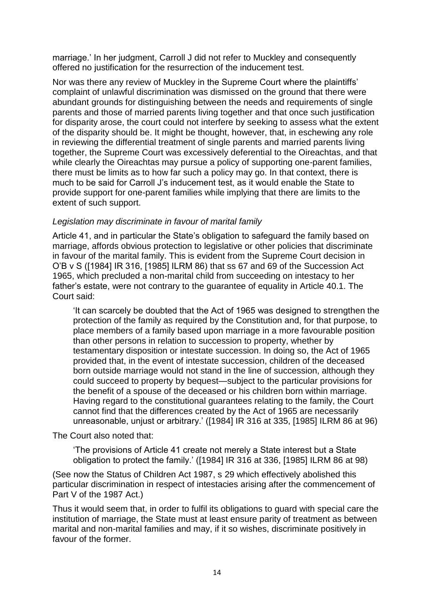marriage.' In her judgment, Carroll J did not refer to Muckley and consequently offered no justification for the resurrection of the inducement test.

Nor was there any review of Muckley in the Supreme Court where the plaintiffs' complaint of unlawful discrimination was dismissed on the ground that there were abundant grounds for distinguishing between the needs and requirements of single parents and those of married parents living together and that once such justification for disparity arose, the court could not interfere by seeking to assess what the extent of the disparity should be. It might be thought, however, that, in eschewing any role in reviewing the differential treatment of single parents and married parents living together, the Supreme Court was excessively deferential to the Oireachtas, and that while clearly the Oireachtas may pursue a policy of supporting one-parent families, there must be limits as to how far such a policy may go. In that context, there is much to be said for Carroll J's inducement test, as it would enable the State to provide support for one-parent families while implying that there are limits to the extent of such support.

### *Legislation may discriminate in favour of marital family*

Article 41, and in particular the State's obligation to safeguard the family based on marriage, affords obvious protection to legislative or other policies that discriminate in favour of the marital family. This is evident from the Supreme Court decision in O'B v S ([1984] IR 316, [1985] ILRM 86) that ss 67 and 69 of the Succession Act 1965, which precluded a non-marital child from succeeding on intestacy to her father's estate, were not contrary to the guarantee of equality in Article 40.1. The Court said:

'It can scarcely be doubted that the Act of 1965 was designed to strengthen the protection of the family as required by the Constitution and, for that purpose, to place members of a family based upon marriage in a more favourable position than other persons in relation to succession to property, whether by testamentary disposition or intestate succession. In doing so, the Act of 1965 provided that, in the event of intestate succession, children of the deceased born outside marriage would not stand in the line of succession, although they could succeed to property by bequest—subject to the particular provisions for the benefit of a spouse of the deceased or his children born within marriage. Having regard to the constitutional guarantees relating to the family, the Court cannot find that the differences created by the Act of 1965 are necessarily unreasonable, unjust or arbitrary.' ([1984] IR 316 at 335, [1985] ILRM 86 at 96)

The Court also noted that:

'The provisions of Article 41 create not merely a State interest but a State obligation to protect the family.' ([1984] IR 316 at 336, [1985] ILRM 86 at 98)

(See now the Status of Children Act 1987, s 29 which effectively abolished this particular discrimination in respect of intestacies arising after the commencement of Part V of the 1987 Act.)

Thus it would seem that, in order to fulfil its obligations to guard with special care the institution of marriage, the State must at least ensure parity of treatment as between marital and non-marital families and may, if it so wishes, discriminate positively in favour of the former.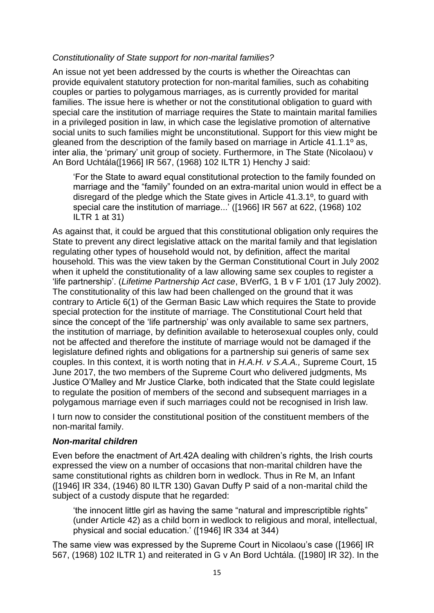### *Constitutionality of State support for non-marital families?*

An issue not yet been addressed by the courts is whether the Oireachtas can provide equivalent statutory protection for non-marital families, such as cohabiting couples or parties to polygamous marriages, as is currently provided for marital families. The issue here is whether or not the constitutional obligation to guard with special care the institution of marriage requires the State to maintain marital families in a privileged position in law, in which case the legislative promotion of alternative social units to such families might be unconstitutional. Support for this view might be gleaned from the description of the family based on marriage in Article 41.1.1º as, inter alia, the 'primary' unit group of society. Furthermore, in The State (Nicolaou) v An Bord Uchtála([1966] IR 567, (1968) 102 ILTR 1) Henchy J said:

'For the State to award equal constitutional protection to the family founded on marriage and the "family" founded on an extra-marital union would in effect be a disregard of the pledge which the State gives in Article 41.3.1º, to guard with special care the institution of marriage...' ([1966] IR 567 at 622, (1968) 102 ILTR 1 at 31)

As against that, it could be argued that this constitutional obligation only requires the State to prevent any direct legislative attack on the marital family and that legislation regulating other types of household would not, by definition, affect the marital household. This was the view taken by the German Constitutional Court in July 2002 when it upheld the constitutionality of a law allowing same sex couples to register a 'life partnership'. (*Lifetime Partnership Act case*, BVerfG, 1 B v F 1/01 (17 July 2002). The constitutionality of this law had been challenged on the ground that it was contrary to Article 6(1) of the German Basic Law which requires the State to provide special protection for the institute of marriage. The Constitutional Court held that since the concept of the 'life partnership' was only available to same sex partners, the institution of marriage, by definition available to heterosexual couples only, could not be affected and therefore the institute of marriage would not be damaged if the legislature defined rights and obligations for a partnership sui generis of same sex couples. In this context, it is worth noting that in *H.A.H. v S.A.A.,* Supreme Court, 15 June 2017, the two members of the Supreme Court who delivered judgments, Ms Justice O'Malley and Mr Justice Clarke, both indicated that the State could legislate to regulate the position of members of the second and subsequent marriages in a polygamous marriage even if such marriages could not be recognised in Irish law.

I turn now to consider the constitutional position of the constituent members of the non-marital family.

### *Non-marital children*

Even before the enactment of Art.42A dealing with children's rights, the Irish courts expressed the view on a number of occasions that non-marital children have the same constitutional rights as children born in wedlock. Thus in Re M, an Infant ([1946] IR 334, (1946) 80 ILTR 130) Gavan Duffy P said of a non-marital child the subject of a custody dispute that he regarded:

'the innocent little girl as having the same "natural and imprescriptible rights" (under Article 42) as a child born in wedlock to religious and moral, intellectual, physical and social education.' ([1946] IR 334 at 344)

The same view was expressed by the Supreme Court in Nicolaou's case ([1966] IR 567, (1968) 102 ILTR 1) and reiterated in G v An Bord Uchtála. ([1980] IR 32). In the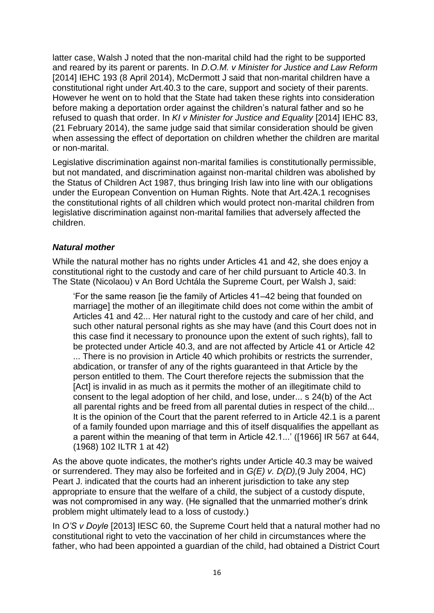latter case, Walsh J noted that the non-marital child had the right to be supported and reared by its parent or parents. In *D.O.M. v Minister for Justice and Law Reform*  [2014] IEHC 193 (8 April 2014), McDermott J said that non-marital children have a constitutional right under Art.40.3 to the care, support and society of their parents. However he went on to hold that the State had taken these rights into consideration before making a deportation order against the children's natural father and so he refused to quash that order. In *KI v Minister for Justice and Equality* [2014] IEHC 83, (21 February 2014), the same judge said that similar consideration should be given when assessing the effect of deportation on children whether the children are marital or non-marital.

Legislative discrimination against non-marital families is constitutionally permissible, but not mandated, and discrimination against non-marital children was abolished by the Status of Children Act 1987, thus bringing Irish law into line with our obligations under the European Convention on Human Rights. Note that Art.42A.1 recognises the constitutional rights of all children which would protect non-marital children from legislative discrimination against non-marital families that adversely affected the children.

## *Natural mother*

While the natural mother has no rights under Articles 41 and 42, she does enjoy a constitutional right to the custody and care of her child pursuant to Article 40.3. In The State (Nicolaou) v An Bord Uchtála the Supreme Court, per Walsh J, said:

'For the same reason [ie the family of Articles 41–42 being that founded on marriage] the mother of an illegitimate child does not come within the ambit of Articles 41 and 42... Her natural right to the custody and care of her child, and such other natural personal rights as she may have (and this Court does not in this case find it necessary to pronounce upon the extent of such rights), fall to be protected under Article 40.3, and are not affected by Article 41 or Article 42 ... There is no provision in Article 40 which prohibits or restricts the surrender, abdication, or transfer of any of the rights guaranteed in that Article by the person entitled to them. The Court therefore rejects the submission that the [Act] is invalid in as much as it permits the mother of an illegitimate child to consent to the legal adoption of her child, and lose, under... s 24(b) of the Act all parental rights and be freed from all parental duties in respect of the child... It is the opinion of the Court that the parent referred to in Article 42.1 is a parent of a family founded upon marriage and this of itself disqualifies the appellant as a parent within the meaning of that term in Article 42.1...' ([1966] IR 567 at 644, (1968) 102 ILTR 1 at 42)

As the above quote indicates, the mother's rights under Article 40.3 may be waived or surrendered. They may also be forfeited and in *G(E) v. D(D),*(9 July 2004, HC) Peart J. indicated that the courts had an inherent jurisdiction to take any step appropriate to ensure that the welfare of a child, the subject of a custody dispute, was not compromised in any way. (He signalled that the unmarried mother's drink problem might ultimately lead to a loss of custody.)

In *O'S v Doyle* [2013] IESC 60, the Supreme Court held that a natural mother had no constitutional right to veto the vaccination of her child in circumstances where the father, who had been appointed a guardian of the child, had obtained a District Court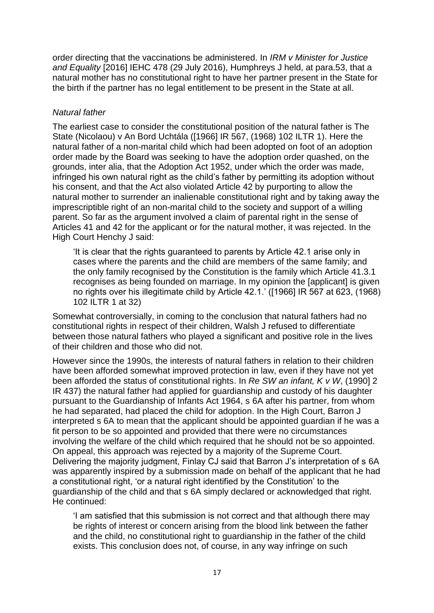order directing that the vaccinations be administered. In *IRM v Minister for Justice and Equality* [2016] IEHC 478 (29 July 2016), Humphreys J held, at para.53, that a natural mother has no constitutional right to have her partner present in the State for the birth if the partner has no legal entitlement to be present in the State at all.

## *Natural father*

The earliest case to consider the constitutional position of the natural father is The State (Nicolaou) v An Bord Uchtála ([1966] IR 567, (1968) 102 ILTR 1). Here the natural father of a non-marital child which had been adopted on foot of an adoption order made by the Board was seeking to have the adoption order quashed, on the grounds, inter alia, that the Adoption Act 1952, under which the order was made, infringed his own natural right as the child's father by permitting its adoption without his consent, and that the Act also violated Article 42 by purporting to allow the natural mother to surrender an inalienable constitutional right and by taking away the imprescriptible right of an non-marital child to the society and support of a willing parent. So far as the argument involved a claim of parental right in the sense of Articles 41 and 42 for the applicant or for the natural mother, it was rejected. In the High Court Henchy J said:

'It is clear that the rights guaranteed to parents by Article 42.1 arise only in cases where the parents and the child are members of the same family; and the only family recognised by the Constitution is the family which Article 41.3.1 recognises as being founded on marriage. In my opinion the [applicant] is given no rights over his illegitimate child by Article 42.1.' ([1966] IR 567 at 623, (1968) 102 ILTR 1 at 32)

Somewhat controversially, in coming to the conclusion that natural fathers had no constitutional rights in respect of their children, Walsh J refused to differentiate between those natural fathers who played a significant and positive role in the lives of their children and those who did not.

However since the 1990s, the interests of natural fathers in relation to their children have been afforded somewhat improved protection in law, even if they have not yet been afforded the status of constitutional rights. In *Re SW an infant, K v W*, (1990] 2 IR 437) the natural father had applied for guardianship and custody of his daughter pursuant to the Guardianship of Infants Act 1964, s 6A after his partner, from whom he had separated, had placed the child for adoption. In the High Court, Barron J interpreted s 6A to mean that the applicant should be appointed guardian if he was a fit person to be so appointed and provided that there were no circumstances involving the welfare of the child which required that he should not be so appointed. On appeal, this approach was rejected by a majority of the Supreme Court. Delivering the majority judgment, Finlay CJ said that Barron J's interpretation of s 6A was apparently inspired by a submission made on behalf of the applicant that he had a constitutional right, 'or a natural right identified by the Constitution' to the guardianship of the child and that s 6A simply declared or acknowledged that right. He continued:

'I am satisfied that this submission is not correct and that although there may be rights of interest or concern arising from the blood link between the father and the child, no constitutional right to guardianship in the father of the child exists. This conclusion does not, of course, in any way infringe on such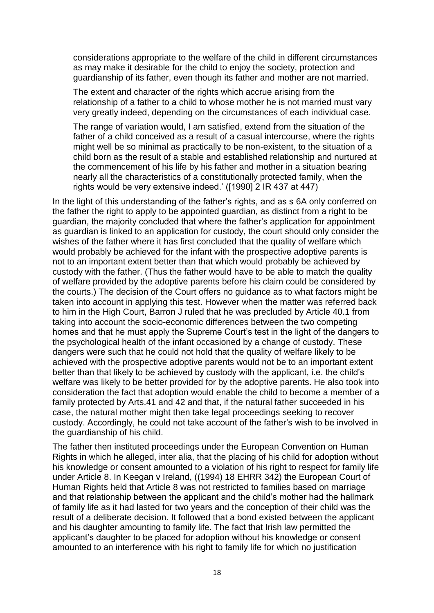considerations appropriate to the welfare of the child in different circumstances as may make it desirable for the child to enjoy the society, protection and guardianship of its father, even though its father and mother are not married.

The extent and character of the rights which accrue arising from the relationship of a father to a child to whose mother he is not married must vary very greatly indeed, depending on the circumstances of each individual case.

The range of variation would, I am satisfied, extend from the situation of the father of a child conceived as a result of a casual intercourse, where the rights might well be so minimal as practically to be non-existent, to the situation of a child born as the result of a stable and established relationship and nurtured at the commencement of his life by his father and mother in a situation bearing nearly all the characteristics of a constitutionally protected family, when the rights would be very extensive indeed.' ([1990] 2 IR 437 at 447)

In the light of this understanding of the father's rights, and as s 6A only conferred on the father the right to apply to be appointed guardian, as distinct from a right to be guardian, the majority concluded that where the father's application for appointment as guardian is linked to an application for custody, the court should only consider the wishes of the father where it has first concluded that the quality of welfare which would probably be achieved for the infant with the prospective adoptive parents is not to an important extent better than that which would probably be achieved by custody with the father. (Thus the father would have to be able to match the quality of welfare provided by the adoptive parents before his claim could be considered by the courts.) The decision of the Court offers no guidance as to what factors might be taken into account in applying this test. However when the matter was referred back to him in the High Court, Barron J ruled that he was precluded by Article 40.1 from taking into account the socio-economic differences between the two competing homes and that he must apply the Supreme Court's test in the light of the dangers to the psychological health of the infant occasioned by a change of custody. These dangers were such that he could not hold that the quality of welfare likely to be achieved with the prospective adoptive parents would not be to an important extent better than that likely to be achieved by custody with the applicant, i.e. the child's welfare was likely to be better provided for by the adoptive parents. He also took into consideration the fact that adoption would enable the child to become a member of a family protected by Arts.41 and 42 and that, if the natural father succeeded in his case, the natural mother might then take legal proceedings seeking to recover custody. Accordingly, he could not take account of the father's wish to be involved in the guardianship of his child.

The father then instituted proceedings under the European Convention on Human Rights in which he alleged, inter alia, that the placing of his child for adoption without his knowledge or consent amounted to a violation of his right to respect for family life under Article 8. In Keegan v Ireland, ((1994) 18 EHRR 342) the European Court of Human Rights held that Article 8 was not restricted to families based on marriage and that relationship between the applicant and the child's mother had the hallmark of family life as it had lasted for two years and the conception of their child was the result of a deliberate decision. It followed that a bond existed between the applicant and his daughter amounting to family life. The fact that Irish law permitted the applicant's daughter to be placed for adoption without his knowledge or consent amounted to an interference with his right to family life for which no justification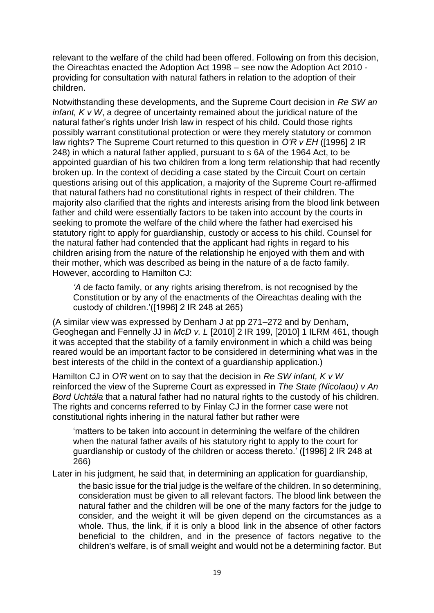relevant to the welfare of the child had been offered. Following on from this decision, the Oireachtas enacted the Adoption Act 1998 – see now the Adoption Act 2010 providing for consultation with natural fathers in relation to the adoption of their children.

Notwithstanding these developments, and the Supreme Court decision in *Re SW an infant, K v W*, a degree of uncertainty remained about the juridical nature of the natural father's rights under Irish law in respect of his child. Could those rights possibly warrant constitutional protection or were they merely statutory or common law rights? The Supreme Court returned to this question in *O'R v EH* ([1996] 2 IR 248) in which a natural father applied, pursuant to s 6A of the 1964 Act, to be appointed guardian of his two children from a long term relationship that had recently broken up. In the context of deciding a case stated by the Circuit Court on certain questions arising out of this application, a majority of the Supreme Court re-affirmed that natural fathers had no constitutional rights in respect of their children. The majority also clarified that the rights and interests arising from the blood link between father and child were essentially factors to be taken into account by the courts in seeking to promote the welfare of the child where the father had exercised his statutory right to apply for guardianship, custody or access to his child. Counsel for the natural father had contended that the applicant had rights in regard to his children arising from the nature of the relationship he enjoyed with them and with their mother, which was described as being in the nature of a de facto family. However, according to Hamilton CJ:

*'A* de facto family, or any rights arising therefrom, is not recognised by the Constitution or by any of the enactments of the Oireachtas dealing with the custody of children.'([1996] 2 IR 248 at 265)

(A similar view was expressed by Denham J at pp 271–272 and by Denham, Geoghegan and Fennelly JJ in *McD v. L* [2010] 2 IR 199, [2010] 1 ILRM 461, though it was accepted that the stability of a family environment in which a child was being reared would be an important factor to be considered in determining what was in the best interests of the child in the context of a guardianship application.)

Hamilton CJ in *O'R* went on to say that the decision in *Re SW infant, K v W* reinforced the view of the Supreme Court as expressed in *The State (Nicolaou) v An Bord Uchtála* that a natural father had no natural rights to the custody of his children. The rights and concerns referred to by Finlay CJ in the former case were not constitutional rights inhering in the natural father but rather were

'matters to be taken into account in determining the welfare of the children when the natural father avails of his statutory right to apply to the court for guardianship or custody of the children or access thereto.' ([1996] 2 IR 248 at 266)

Later in his judgment, he said that, in determining an application for guardianship,

the basic issue for the trial judge is the welfare of the children. In so determining, consideration must be given to all relevant factors. The blood link between the natural father and the children will be one of the many factors for the judge to consider, and the weight it will be given depend on the circumstances as a whole. Thus, the link, if it is only a blood link in the absence of other factors beneficial to the children, and in the presence of factors negative to the children's welfare, is of small weight and would not be a determining factor. But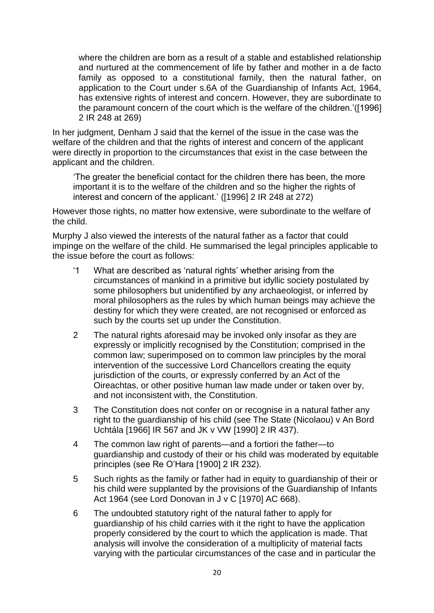where the children are born as a result of a stable and established relationship and nurtured at the commencement of life by father and mother in a de facto family as opposed to a constitutional family, then the natural father, on application to the Court under s.6A of the Guardianship of Infants Act, 1964, has extensive rights of interest and concern. However, they are subordinate to the paramount concern of the court which is the welfare of the children.'([1996] 2 IR 248 at 269)

In her judgment, Denham J said that the kernel of the issue in the case was the welfare of the children and that the rights of interest and concern of the applicant were directly in proportion to the circumstances that exist in the case between the applicant and the children.

'The greater the beneficial contact for the children there has been, the more important it is to the welfare of the children and so the higher the rights of interest and concern of the applicant.' ([1996] 2 IR 248 at 272)

However those rights, no matter how extensive, were subordinate to the welfare of the child.

Murphy J also viewed the interests of the natural father as a factor that could impinge on the welfare of the child. He summarised the legal principles applicable to the issue before the court as follows:

- '1 What are described as 'natural rights' whether arising from the circumstances of mankind in a primitive but idyllic society postulated by some philosophers but unidentified by any archaeologist, or inferred by moral philosophers as the rules by which human beings may achieve the destiny for which they were created, are not recognised or enforced as such by the courts set up under the Constitution.
- 2 The natural rights aforesaid may be invoked only insofar as they are expressly or implicitly recognised by the Constitution; comprised in the common law; superimposed on to common law principles by the moral intervention of the successive Lord Chancellors creating the equity jurisdiction of the courts, or expressly conferred by an Act of the Oireachtas, or other positive human law made under or taken over by, and not inconsistent with, the Constitution.
- 3 The Constitution does not confer on or recognise in a natural father any right to the guardianship of his child (see The State (Nicolaou) v An Bord Uchtála [1966] IR 567 and JK v VW [1990] 2 IR 437).
- 4 The common law right of parents—and a fortiori the father—to guardianship and custody of their or his child was moderated by equitable principles (see Re O'Hara [1900] 2 IR 232).
- 5 Such rights as the family or father had in equity to guardianship of their or his child were supplanted by the provisions of the Guardianship of Infants Act 1964 (see Lord Donovan in J v C [1970] AC 668).
- 6 The undoubted statutory right of the natural father to apply for guardianship of his child carries with it the right to have the application properly considered by the court to which the application is made. That analysis will involve the consideration of a multiplicity of material facts varying with the particular circumstances of the case and in particular the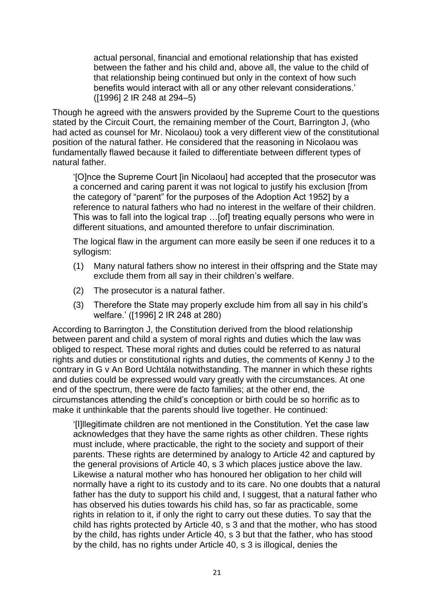actual personal, financial and emotional relationship that has existed between the father and his child and, above all, the value to the child of that relationship being continued but only in the context of how such benefits would interact with all or any other relevant considerations.' ([1996] 2 IR 248 at 294–5)

Though he agreed with the answers provided by the Supreme Court to the questions stated by the Circuit Court, the remaining member of the Court, Barrington J, (who had acted as counsel for Mr. Nicolaou) took a very different view of the constitutional position of the natural father. He considered that the reasoning in Nicolaou was fundamentally flawed because it failed to differentiate between different types of natural father.

'[O]nce the Supreme Court [in Nicolaou] had accepted that the prosecutor was a concerned and caring parent it was not logical to justify his exclusion [from the category of "parent" for the purposes of the Adoption Act 1952] by a reference to natural fathers who had no interest in the welfare of their children. This was to fall into the logical trap …[of] treating equally persons who were in different situations, and amounted therefore to unfair discrimination.

The logical flaw in the argument can more easily be seen if one reduces it to a syllogism:

- (1) Many natural fathers show no interest in their offspring and the State may exclude them from all say in their children's welfare.
- (2) The prosecutor is a natural father.
- (3) Therefore the State may properly exclude him from all say in his child's welfare.' ([1996] 2 IR 248 at 280)

According to Barrington J, the Constitution derived from the blood relationship between parent and child a system of moral rights and duties which the law was obliged to respect. These moral rights and duties could be referred to as natural rights and duties or constitutional rights and duties, the comments of Kenny J to the contrary in G v An Bord Uchtála notwithstanding. The manner in which these rights and duties could be expressed would vary greatly with the circumstances. At one end of the spectrum, there were de facto families; at the other end, the circumstances attending the child's conception or birth could be so horrific as to make it unthinkable that the parents should live together. He continued:

'[I]llegitimate children are not mentioned in the Constitution. Yet the case law acknowledges that they have the same rights as other children. These rights must include, where practicable, the right to the society and support of their parents. These rights are determined by analogy to Article 42 and captured by the general provisions of Article 40, s 3 which places justice above the law. Likewise a natural mother who has honoured her obligation to her child will normally have a right to its custody and to its care. No one doubts that a natural father has the duty to support his child and, I suggest, that a natural father who has observed his duties towards his child has, so far as practicable, some rights in relation to it, if only the right to carry out these duties. To say that the child has rights protected by Article 40, s 3 and that the mother, who has stood by the child, has rights under Article 40, s 3 but that the father, who has stood by the child, has no rights under Article 40, s 3 is illogical, denies the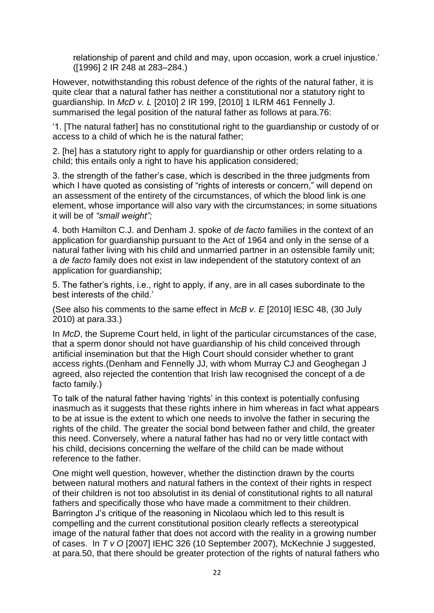relationship of parent and child and may, upon occasion, work a cruel injustice.' ([1996] 2 IR 248 at 283–284.)

However, notwithstanding this robust defence of the rights of the natural father, it is quite clear that a natural father has neither a constitutional nor a statutory right to guardianship. In *McD v. L* [2010] 2 IR 199, [2010] 1 ILRM 461 Fennelly J. summarised the legal position of the natural father as follows at para.76:

'1. [The natural father] has no constitutional right to the guardianship or custody of or access to a child of which he is the natural father;

2. [he] has a statutory right to apply for guardianship or other orders relating to a child; this entails only a right to have his application considered;

3. the strength of the father's case, which is described in the three judgments from which I have quoted as consisting of "rights of interests or concern," will depend on an assessment of the entirety of the circumstances, of which the blood link is one element, whose importance will also vary with the circumstances; in some situations it will be of *"small weight";*

4. both Hamilton C.J. and Denham J. spoke of *de facto* families in the context of an application for guardianship pursuant to the Act of 1964 and only in the sense of a natural father living with his child and unmarried partner in an ostensible family unit; a *de facto* family does not exist in law independent of the statutory context of an application for guardianship;

5. The father's rights, i.e., right to apply, if any, are in all cases subordinate to the best interests of the child.'

(See also his comments to the same effect in *McB v. E* [2010] IESC 48, (30 July 2010) at para.33.)

In *McD*, the Supreme Court held, in light of the particular circumstances of the case, that a sperm donor should not have guardianship of his child conceived through artificial insemination but that the High Court should consider whether to grant access rights.(Denham and Fennelly JJ, with whom Murray CJ and Geoghegan J agreed, also rejected the contention that Irish law recognised the concept of a de facto family.)

To talk of the natural father having 'rights' in this context is potentially confusing inasmuch as it suggests that these rights inhere in him whereas in fact what appears to be at issue is the extent to which one needs to involve the father in securing the rights of the child. The greater the social bond between father and child, the greater this need. Conversely, where a natural father has had no or very little contact with his child, decisions concerning the welfare of the child can be made without reference to the father.

One might well question, however, whether the distinction drawn by the courts between natural mothers and natural fathers in the context of their rights in respect of their children is not too absolutist in its denial of constitutional rights to all natural fathers and specifically those who have made a commitment to their children. Barrington J's critique of the reasoning in Nicolaou which led to this result is compelling and the current constitutional position clearly reflects a stereotypical image of the natural father that does not accord with the reality in a growing number of cases. In *T v O* [2007] IEHC 326 (10 September 2007), McKechnie J suggested, at para.50, that there should be greater protection of the rights of natural fathers who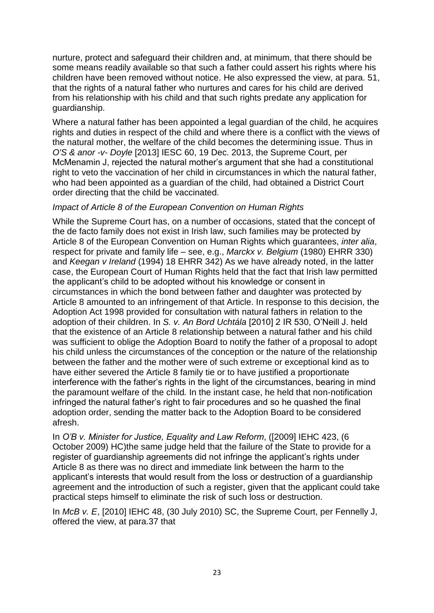nurture, protect and safeguard their children and, at minimum, that there should be some means readily available so that such a father could assert his rights where his children have been removed without notice. He also expressed the view, at para. 51, that the rights of a natural father who nurtures and cares for his child are derived from his relationship with his child and that such rights predate any application for guardianship.

Where a natural father has been appointed a legal guardian of the child, he acquires rights and duties in respect of the child and where there is a conflict with the views of the natural mother, the welfare of the child becomes the determining issue. Thus in *O'S & anor -v- Doyle* [2013] IESC 60, 19 Dec. 2013, the Supreme Court, per McMenamin J, rejected the natural mother's argument that she had a constitutional right to veto the vaccination of her child in circumstances in which the natural father, who had been appointed as a guardian of the child, had obtained a District Court order directing that the child be vaccinated.

### *Impact of Article 8 of the European Convention on Human Rights*

While the Supreme Court has, on a number of occasions, stated that the concept of the de facto family does not exist in Irish law, such families may be protected by Article 8 of the European Convention on Human Rights which guarantees, *inter alia*, respect for private and family life – see, e.g., *Marckx v. Belgium* (1980) EHRR 330) and *Keegan v Ireland* (1994) 18 EHRR 342) As we have already noted, in the latter case, the European Court of Human Rights held that the fact that Irish law permitted the applicant's child to be adopted without his knowledge or consent in circumstances in which the bond between father and daughter was protected by Article 8 amounted to an infringement of that Article. In response to this decision, the Adoption Act 1998 provided for consultation with natural fathers in relation to the adoption of their children. In *S. v. An Bord Uchtála* [2010] 2 IR 530, O'Neill J. held that the existence of an Article 8 relationship between a natural father and his child was sufficient to oblige the Adoption Board to notify the father of a proposal to adopt his child unless the circumstances of the conception or the nature of the relationship between the father and the mother were of such extreme or exceptional kind as to have either severed the Article 8 family tie or to have justified a proportionate interference with the father's rights in the light of the circumstances, bearing in mind the paramount welfare of the child*.* In the instant case, he held that non-notification infringed the natural father's right to fair procedures and so he quashed the final adoption order, sending the matter back to the Adoption Board to be considered afresh.

In *O'B v. Minister for Justice, Equality and Law Reform*, ([2009] IEHC 423, (6 October 2009) HC)the same judge held that the failure of the State to provide for a register of guardianship agreements did not infringe the applicant's rights under Article 8 as there was no direct and immediate link between the harm to the applicant's interests that would result from the loss or destruction of a guardianship agreement and the introduction of such a register, given that the applicant could take practical steps himself to eliminate the risk of such loss or destruction.

In *McB v. E*, [2010] IEHC 48, (30 July 2010) SC, the Supreme Court, per Fennelly J, offered the view, at para.37 that